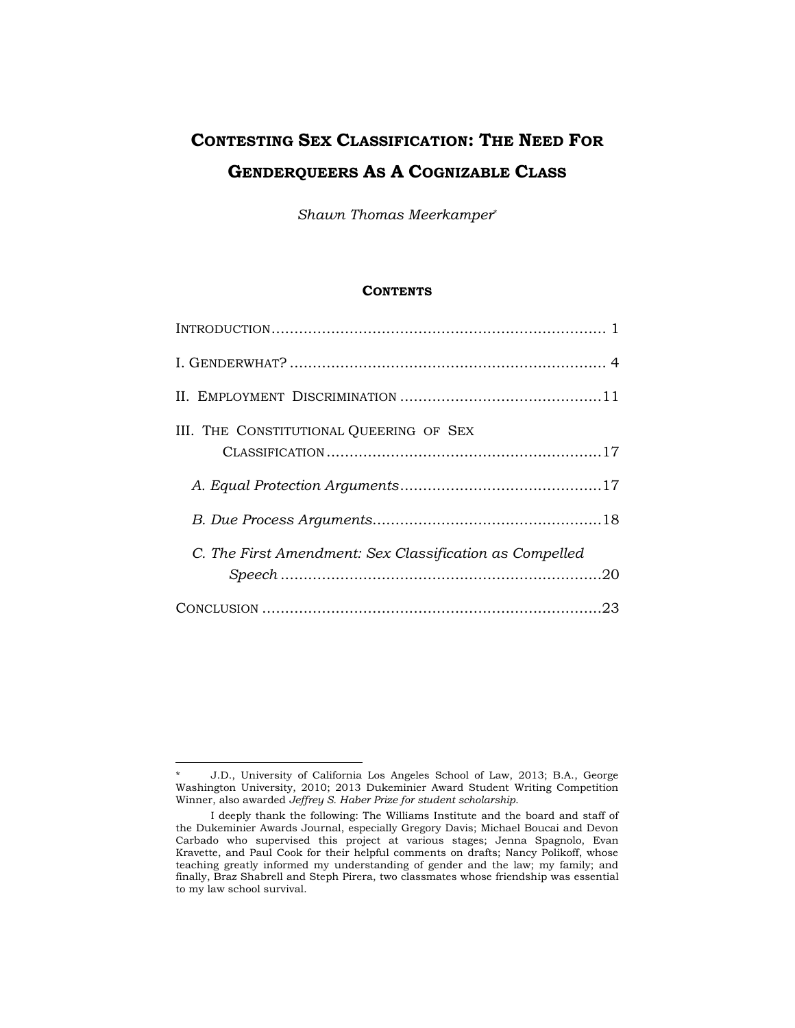# **CONTESTING SEX CLASSIFICATION: THE NEED FOR GENDERQUEERS AS A COGNIZABLE CLASS**

*Shawn Thomas Meerkamper*\*

# <span id="page-0-0"></span>**CONTENTS**

| III. THE CONSTITUTIONAL QUEERING OF SEX                 |  |
|---------------------------------------------------------|--|
|                                                         |  |
|                                                         |  |
| C. The First Amendment: Sex Classification as Compelled |  |
|                                                         |  |

J.D., University of California Los Angeles School of Law, 2013; B.A., George Washington University, 2010; 2013 Dukeminier Award Student Writing Competition Winner, also awarded *Jeffrey S. Haber Prize for student scholarship*.

I deeply thank the following: The Williams Institute and the board and staff of the Dukeminier Awards Journal, especially Gregory Davis; Michael Boucai and Devon Carbado who supervised this project at various stages; Jenna Spagnolo, Evan Kravette, and Paul Cook for their helpful comments on drafts; Nancy Polikoff, whose teaching greatly informed my understanding of gender and the law; my family; and finally, Braz Shabrell and Steph Pirera, two classmates whose friendship was essential to my law school survival.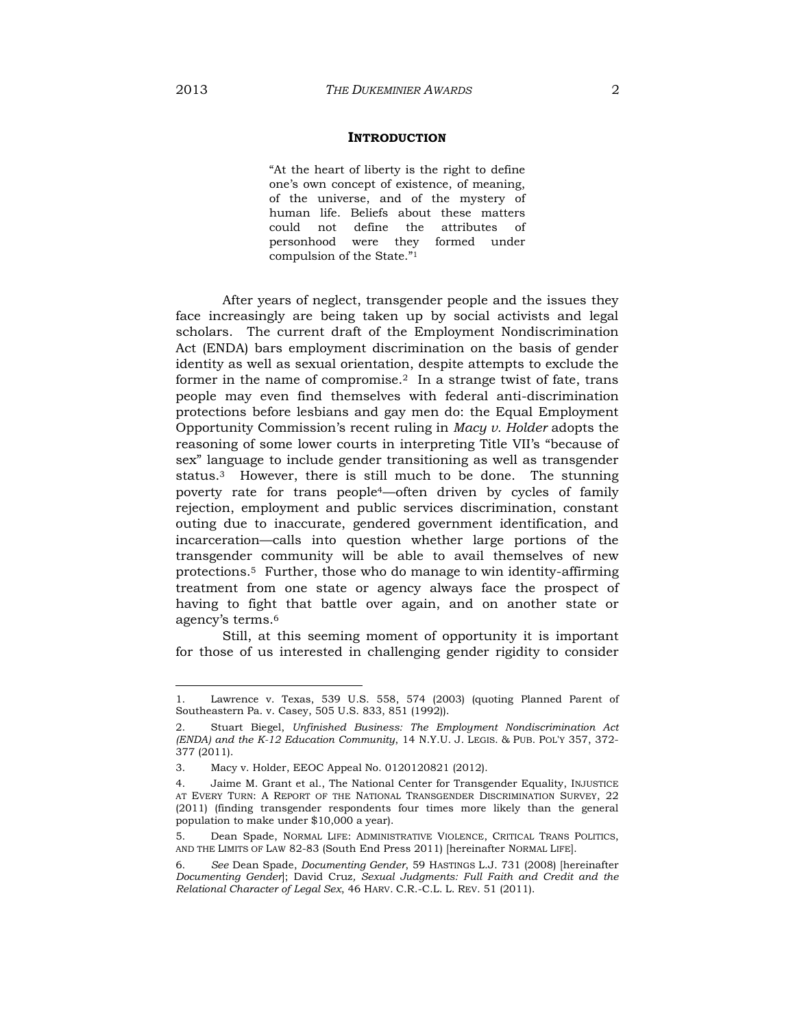"At the heart of liberty is the right to define one's own concept of existence, of meaning, of the universe, and of the mystery of human life. Beliefs about these matters could not define the attributes of personhood were they formed under compulsion of the State."<sup>1</sup>

After years of neglect, transgender people and the issues they face increasingly are being taken up by social activists and legal scholars. The current draft of the Employment Nondiscrimination Act (ENDA) bars employment discrimination on the basis of gender identity as well as sexual orientation, despite attempts to exclude the former in the name of compromise.<sup>2</sup> In a strange twist of fate, trans people may even find themselves with federal anti-discrimination protections before lesbians and gay men do: the Equal Employment Opportunity Commission's recent ruling in *Macy v. Holder* adopts the reasoning of some lower courts in interpreting Title VII's "because of sex" language to include gender transitioning as well as transgender status.3 However, there is still much to be done. The stunning poverty rate for trans people4—often driven by cycles of family rejection, employment and public services discrimination, constant outing due to inaccurate, gendered government identification, and incarceration—calls into question whether large portions of the transgender community will be able to avail themselves of new protections.5 Further, those who do manage to win identity-affirming treatment from one state or agency always face the prospect of having to fight that battle over again, and on another state or agency's terms.<sup>6</sup>

Still, at this seeming moment of opportunity it is important for those of us interested in challenging gender rigidity to consider

<sup>1.</sup> Lawrence v. Texas, 539 U.S. 558, 574 (2003) (quoting Planned Parent of Southeastern Pa. v. Casey, 505 U.S. 833, 851 (1992)).

<sup>2.</sup> Stuart Biegel, *Unfinished Business: The Employment Nondiscrimination Act (ENDA) and the K-12 Education Community*, 14 N.Y.U. J. LEGIS. & PUB. POL'Y 357, 372- 377 (2011).

<sup>3.</sup> Macy v. Holder, EEOC Appeal No. 0120120821 (2012).

<sup>4.</sup> Jaime M. Grant et al., The National Center for Transgender Equality, INJUSTICE AT EVERY TURN: A REPORT OF THE NATIONAL TRANSGENDER DISCRIMINATION SURVEY, 22 (2011) (finding transgender respondents four times more likely than the general population to make under \$10,000 a year).

<sup>5.</sup> Dean Spade, NORMAL LIFE: ADMINISTRATIVE VIOLENCE, CRITICAL TRANS POLITICS, AND THE LIMITS OF LAW 82-83 (South End Press 2011) [hereinafter NORMAL LIFE].

<sup>6.</sup> *See* Dean Spade, *Documenting Gender*, 59 HASTINGS L.J. 731 (2008) [hereinafter *Documenting Gender*]; David Cruz*, Sexual Judgments: Full Faith and Credit and the Relational Character of Legal Sex*, 46 HARV. C.R.-C.L. L. REV. 51 (2011).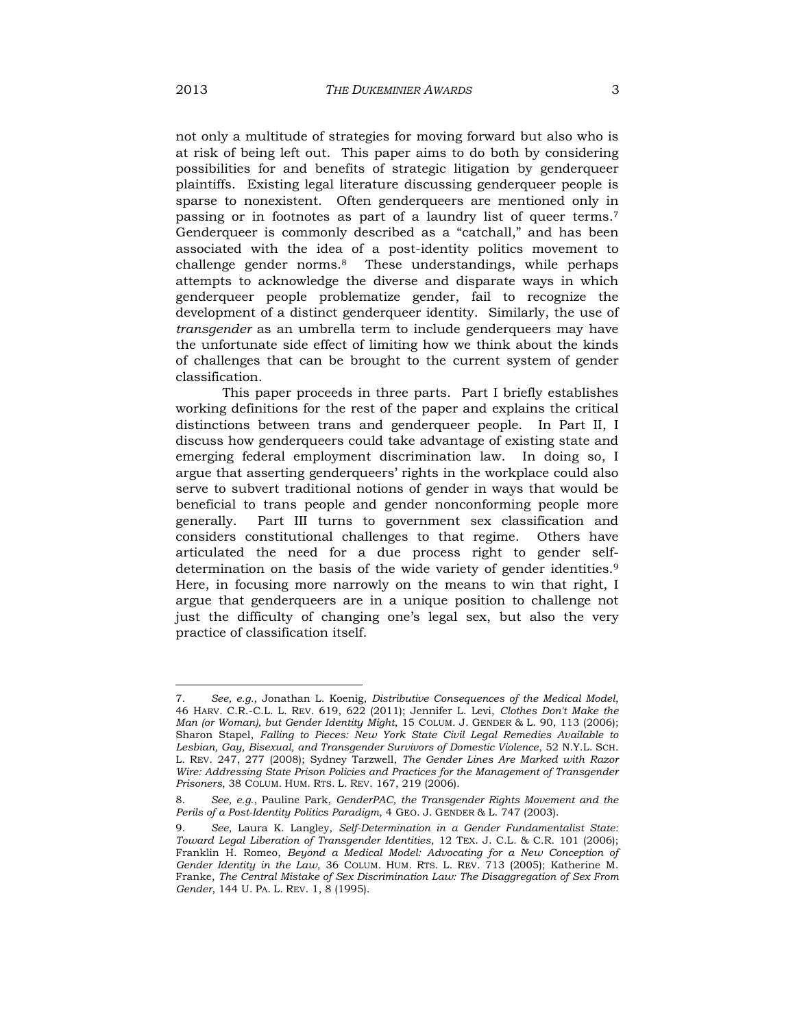not only a multitude of strategies for moving forward but also who is at risk of being left out. This paper aims to do both by considering possibilities for and benefits of strategic litigation by genderqueer plaintiffs. Existing legal literature discussing genderqueer people is sparse to nonexistent. Often genderqueers are mentioned only in passing or in footnotes as part of a laundry list of queer terms.<sup>7</sup> Genderqueer is commonly described as a "catchall," and has been associated with the idea of a post-identity politics movement to challenge gender norms.8 These understandings, while perhaps attempts to acknowledge the diverse and disparate ways in which genderqueer people problematize gender, fail to recognize the development of a distinct genderqueer identity. Similarly, the use of *transgender* as an umbrella term to include genderqueers may have the unfortunate side effect of limiting how we think about the kinds of challenges that can be brought to the current system of gender classification.

This paper proceeds in three parts. Part I briefly establishes working definitions for the rest of the paper and explains the critical distinctions between trans and genderqueer people. In Part II, I discuss how genderqueers could take advantage of existing state and emerging federal employment discrimination law. In doing so, I argue that asserting genderqueers' rights in the workplace could also serve to subvert traditional notions of gender in ways that would be beneficial to trans people and gender nonconforming people more generally. Part III turns to government sex classification and considers constitutional challenges to that regime. Others have articulated the need for a due process right to gender selfdetermination on the basis of the wide variety of gender identities.<sup>9</sup> Here, in focusing more narrowly on the means to win that right, I argue that genderqueers are in a unique position to challenge not just the difficulty of changing one's legal sex, but also the very practice of classification itself.

<span id="page-2-0"></span><sup>7.</sup> *See, e.g.*, Jonathan L. Koenig, *Distributive Consequences of the Medical Model*, 46 HARV. C.R.-C.L. L. REV. 619, 622 (2011); Jennifer L. Levi, *Clothes Don't Make the Man (or Woman), but Gender Identity Might*, 15 COLUM. J. GENDER & L. 90, 113 (2006); Sharon Stapel, *Falling to Pieces: New York State Civil Legal Remedies Available to Lesbian, Gay, Bisexual, and Transgender Survivors of Domestic Violence*, 52 N.Y.L. SCH. L. REV. 247, 277 (2008); Sydney Tarzwell, *The Gender Lines Are Marked with Razor Wire: Addressing State Prison Policies and Practices for the Management of Transgender Prisoners*, 38 COLUM. HUM. RTS. L. REV. 167, 219 (2006).

<sup>8.</sup> *See, e.g.*, Pauline Park, *GenderPAC, the Transgender Rights Movement and the Perils of a Post-Identity Politics Paradigm*, 4 GEO. J. GENDER & L. 747 (2003).

<sup>9.</sup> *See*, Laura K. Langley, *Self-Determination in a Gender Fundamentalist State: Toward Legal Liberation of Transgender Identities*, 12 TEX. J. C.L. & C.R. 101 (2006); Franklin H. Romeo, *Beyond a Medical Model: Advocating for a New Conception of Gender Identity in the Law*, 36 COLUM. HUM. RTS. L. REV. 713 (2005); Katherine M. Franke, *The Central Mistake of Sex Discrimination Law: The Disaggregation of Sex From Gender*, 144 U. PA. L. REV. 1, 8 (1995).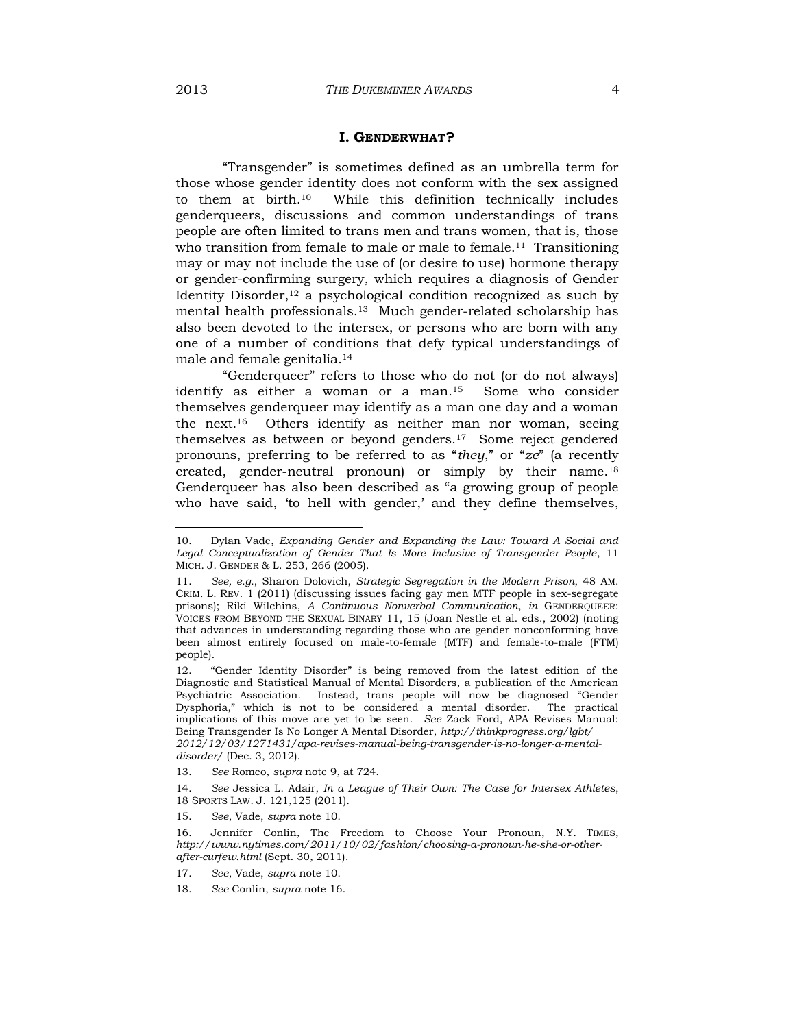## **I. GENDERWHAT?**

"Transgender" is sometimes defined as an umbrella term for those whose gender identity does not conform with the sex assigned to them at birth.10 While this definition technically includes genderqueers, discussions and common understandings of trans people are often limited to trans men and trans women, that is, those who transition from female to male or male to female.<sup>11</sup> Transitioning may or may not include the use of (or desire to use) hormone therapy or gender-confirming surgery, which requires a diagnosis of Gender Identity Disorder,<sup>12</sup> a psychological condition recognized as such by mental health professionals.13 Much gender-related scholarship has also been devoted to the intersex, or persons who are born with any one of a number of conditions that defy typical understandings of male and female genitalia.<sup>14</sup>

"Genderqueer" refers to those who do not (or do not always) identify as either a woman or a man.15 Some who consider themselves genderqueer may identify as a man one day and a woman the next.16 Others identify as neither man nor woman, seeing themselves as between or beyond genders.17 Some reject gendered pronouns, preferring to be referred to as "*they*," or "*ze*" (a recently created, gender-neutral pronoun) or simply by their name.<sup>18</sup> Genderqueer has also been described as "a growing group of people who have said, 'to hell with gender,' and they define themselves,

<sup>10.</sup> Dylan Vade, *Expanding Gender and Expanding the Law: Toward A Social and Legal Conceptualization of Gender That Is More Inclusive of Transgender People*, 11 MICH. J. GENDER & L. 253, 266 (2005).

<sup>11.</sup> *See, e.g.*, Sharon Dolovich, *Strategic Segregation in the Modern Prison*, 48 AM. CRIM. L. REV. 1 (2011) (discussing issues facing gay men MTF people in sex-segregate prisons); Riki Wilchins, *A Continuous Nonverbal Communication*, *in* GENDERQUEER: VOICES FROM BEYOND THE SEXUAL BINARY 11, 15 (Joan Nestle et al. eds., 2002) (noting that advances in understanding regarding those who are gender nonconforming have been almost entirely focused on male-to-female (MTF) and female-to-male (FTM) people).

<sup>12.</sup> "Gender Identity Disorder" is being removed from the latest edition of the Diagnostic and Statistical Manual of Mental Disorders, a publication of the American Psychiatric Association. Instead, trans people will now be diagnosed "Gender Dysphoria," which is not to be considered a mental disorder. The practical implications of this move are yet to be seen. *See* Zack Ford, APA Revises Manual: Being Transgender Is No Longer A Mental Disorder, *http://thinkprogress.org/lgbt/ 2012/12/03/1271431/apa-revises-manual-being-transgender-is-no-longer-a-mentaldisorder/* (Dec. 3, 2012).

<sup>13.</sup> *See* Romeo, *supra* note 9, at 724.

<sup>14.</sup> *See* Jessica L. Adair, *In a League of Their Own: The Case for Intersex Athletes*, 18 SPORTS LAW. J. 121,125 (2011).

<sup>15.</sup> *See*, Vade, *supra* note 10.

<sup>16.</sup> Jennifer Conlin, The Freedom to Choose Your Pronoun, N.Y. TIMES, *http://www.nytimes.com/2011/10/02/fashion/choosing-a-pronoun-he-she-or-otherafter-curfew.html* (Sept. 30, 2011).

<sup>17.</sup> *See*, Vade, *supra* note 10.

<sup>18.</sup> *See* Conlin, *supra* note 16.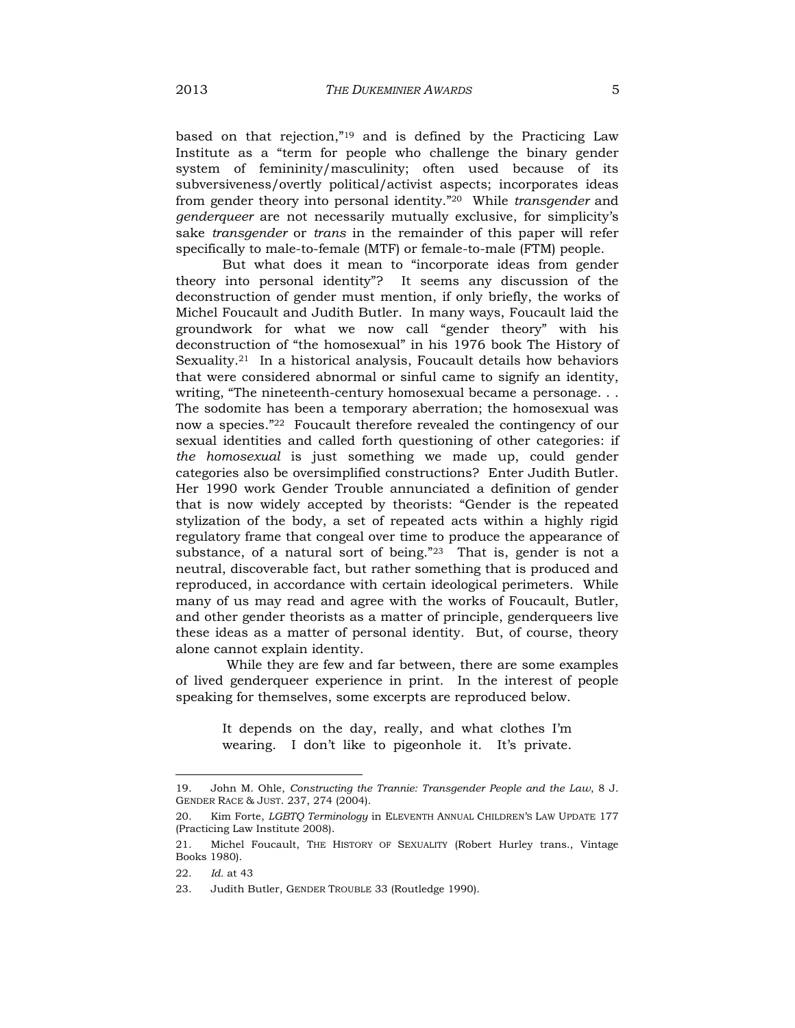based on that rejection,"<sup>19</sup> and is defined by the Practicing Law Institute as a "term for people who challenge the binary gender system of femininity/masculinity; often used because of its subversiveness/overtly political/activist aspects; incorporates ideas from gender theory into personal identity."20 While *transgender* and *genderqueer* are not necessarily mutually exclusive, for simplicity's sake *transgender* or *trans* in the remainder of this paper will refer specifically to male-to-female (MTF) or female-to-male (FTM) people.

But what does it mean to "incorporate ideas from gender theory into personal identity"? It seems any discussion of the deconstruction of gender must mention, if only briefly, the works of Michel Foucault and Judith Butler. In many ways, Foucault laid the groundwork for what we now call "gender theory" with his deconstruction of "the homosexual" in his 1976 book The History of Sexuality.<sup>21</sup> In a historical analysis, Foucault details how behaviors that were considered abnormal or sinful came to signify an identity, writing, "The nineteenth-century homosexual became a personage. . . The sodomite has been a temporary aberration; the homosexual was now a species."22 Foucault therefore revealed the contingency of our sexual identities and called forth questioning of other categories: if *the homosexual* is just something we made up, could gender categories also be oversimplified constructions? Enter Judith Butler. Her 1990 work Gender Trouble annunciated a definition of gender that is now widely accepted by theorists: "Gender is the repeated stylization of the body, a set of repeated acts within a highly rigid regulatory frame that congeal over time to produce the appearance of substance, of a natural sort of being."<sup>23</sup> That is, gender is not a neutral, discoverable fact, but rather something that is produced and reproduced, in accordance with certain ideological perimeters. While many of us may read and agree with the works of Foucault, Butler, and other gender theorists as a matter of principle, genderqueers live these ideas as a matter of personal identity. But, of course, theory alone cannot explain identity.

While they are few and far between, there are some examples of lived genderqueer experience in print. In the interest of people speaking for themselves, some excerpts are reproduced below.

> It depends on the day, really, and what clothes I'm wearing. I don't like to pigeonhole it. It's private.

<sup>19.</sup> John M. Ohle, *Constructing the Trannie: Transgender People and the Law*, 8 J. GENDER RACE & JUST. 237, 274 (2004).

<sup>20.</sup> Kim Forte, *LGBTQ Terminology* in ELEVENTH ANNUAL CHILDREN'S LAW UPDATE 177 (Practicing Law Institute 2008).

<sup>21.</sup> Michel Foucault, THE HISTORY OF SEXUALITY (Robert Hurley trans., Vintage Books 1980).

<sup>22.</sup> *Id.* at 43

<sup>23.</sup> Judith Butler, GENDER TROUBLE 33 (Routledge 1990).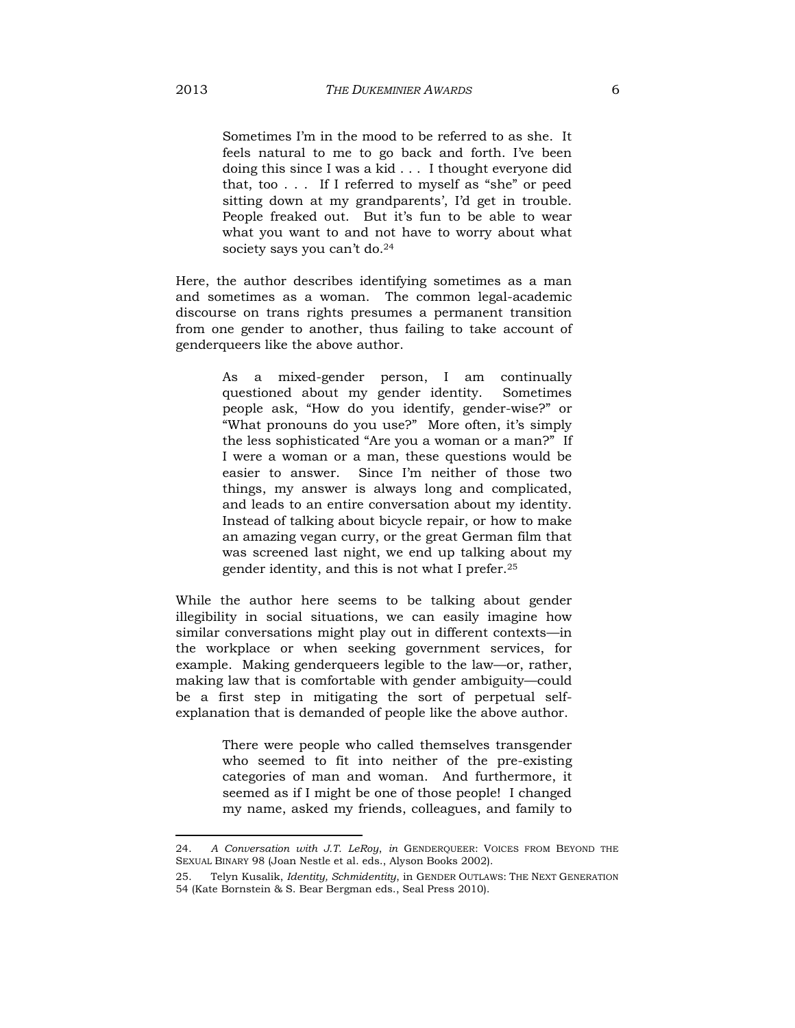Sometimes I'm in the mood to be referred to as she. It feels natural to me to go back and forth. I've been doing this since I was a kid . . . I thought everyone did that, too . . . If I referred to myself as "she" or peed sitting down at my grandparents', I'd get in trouble. People freaked out. But it's fun to be able to wear what you want to and not have to worry about what society says you can't do.<sup>24</sup>

Here, the author describes identifying sometimes as a man and sometimes as a woman. The common legal-academic discourse on trans rights presumes a permanent transition from one gender to another, thus failing to take account of genderqueers like the above author.

> As a mixed-gender person, I am continually questioned about my gender identity. Sometimes people ask, "How do you identify, gender-wise?" or "What pronouns do you use?" More often, it's simply the less sophisticated "Are you a woman or a man?" If I were a woman or a man, these questions would be easier to answer. Since I'm neither of those two things, my answer is always long and complicated, and leads to an entire conversation about my identity. Instead of talking about bicycle repair, or how to make an amazing vegan curry, or the great German film that was screened last night, we end up talking about my gender identity, and this is not what I prefer.<sup>25</sup>

While the author here seems to be talking about gender illegibility in social situations, we can easily imagine how similar conversations might play out in different contexts—in the workplace or when seeking government services, for example. Making genderqueers legible to the law—or, rather, making law that is comfortable with gender ambiguity—could be a first step in mitigating the sort of perpetual selfexplanation that is demanded of people like the above author.

> There were people who called themselves transgender who seemed to fit into neither of the pre-existing categories of man and woman. And furthermore, it seemed as if I might be one of those people! I changed my name, asked my friends, colleagues, and family to

<sup>24.</sup> *A Conversation with J.T. LeRoy*, *in* GENDERQUEER: VOICES FROM BEYOND THE SEXUAL BINARY 98 (Joan Nestle et al. eds., Alyson Books 2002).

<sup>25.</sup> Telyn Kusalik, *Identity, Schmidentity*, in GENDER OUTLAWS: THE NEXT GENERATION 54 (Kate Bornstein & S. Bear Bergman eds., Seal Press 2010).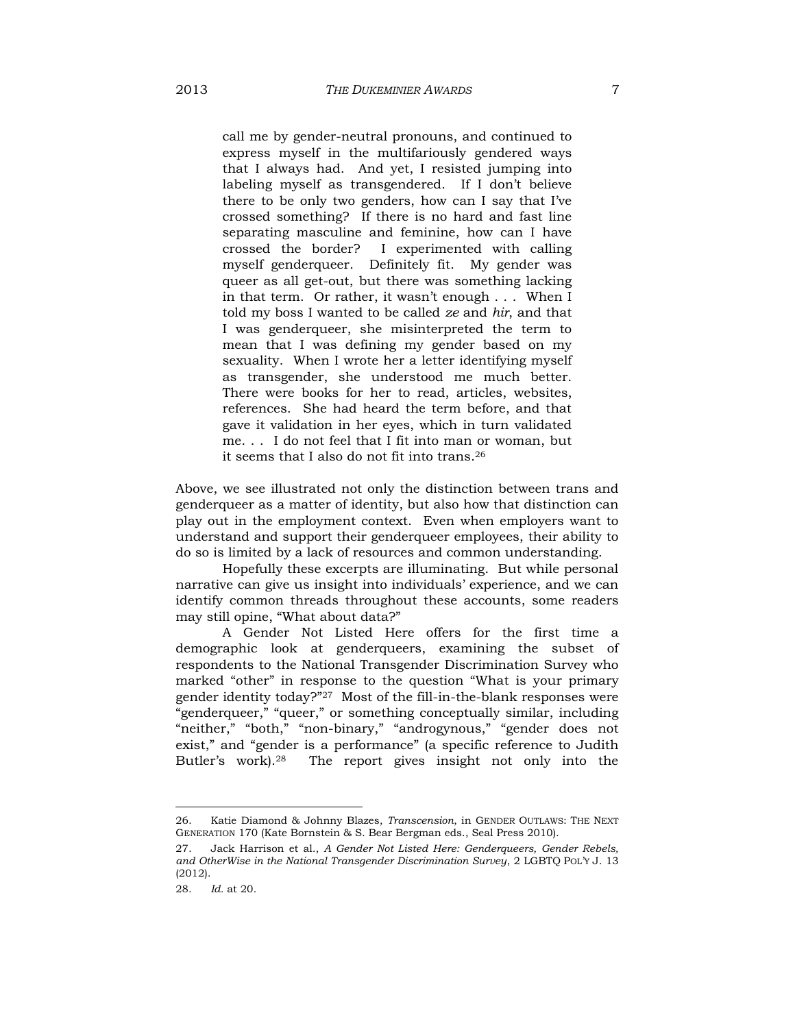call me by gender-neutral pronouns, and continued to express myself in the multifariously gendered ways that I always had. And yet, I resisted jumping into labeling myself as transgendered. If I don't believe there to be only two genders, how can I say that I've crossed something? If there is no hard and fast line separating masculine and feminine, how can I have crossed the border? I experimented with calling myself genderqueer. Definitely fit. My gender was queer as all get-out, but there was something lacking in that term. Or rather, it wasn't enough . . . When I told my boss I wanted to be called *ze* and *hir*, and that I was genderqueer, she misinterpreted the term to mean that I was defining my gender based on my sexuality. When I wrote her a letter identifying myself as transgender, she understood me much better. There were books for her to read, articles, websites, references. She had heard the term before, and that gave it validation in her eyes, which in turn validated me. . . I do not feel that I fit into man or woman, but it seems that I also do not fit into trans.<sup>26</sup>

Above, we see illustrated not only the distinction between trans and genderqueer as a matter of identity, but also how that distinction can play out in the employment context. Even when employers want to understand and support their genderqueer employees, their ability to do so is limited by a lack of resources and common understanding.

Hopefully these excerpts are illuminating. But while personal narrative can give us insight into individuals' experience, and we can identify common threads throughout these accounts, some readers may still opine, "What about data?"

A Gender Not Listed Here offers for the first time a demographic look at genderqueers, examining the subset of respondents to the National Transgender Discrimination Survey who marked "other" in response to the question "What is your primary gender identity today?"27 Most of the fill-in-the-blank responses were "genderqueer," "queer," or something conceptually similar, including "neither," "both," "non-binary," "androgynous," "gender does not exist," and "gender is a performance" (a specific reference to Judith Butler's work).28 The report gives insight not only into the

<sup>26.</sup> Katie Diamond & Johnny Blazes, *Transcension*, in GENDER OUTLAWS: THE NEXT GENERATION 170 (Kate Bornstein & S. Bear Bergman eds., Seal Press 2010).

<sup>27.</sup> Jack Harrison et al., *A Gender Not Listed Here: Genderqueers, Gender Rebels, and OtherWise in the National Transgender Discrimination Survey*, 2 LGBTQ POL'Y J. 13 (2012).

<sup>28.</sup> *Id.* at 20.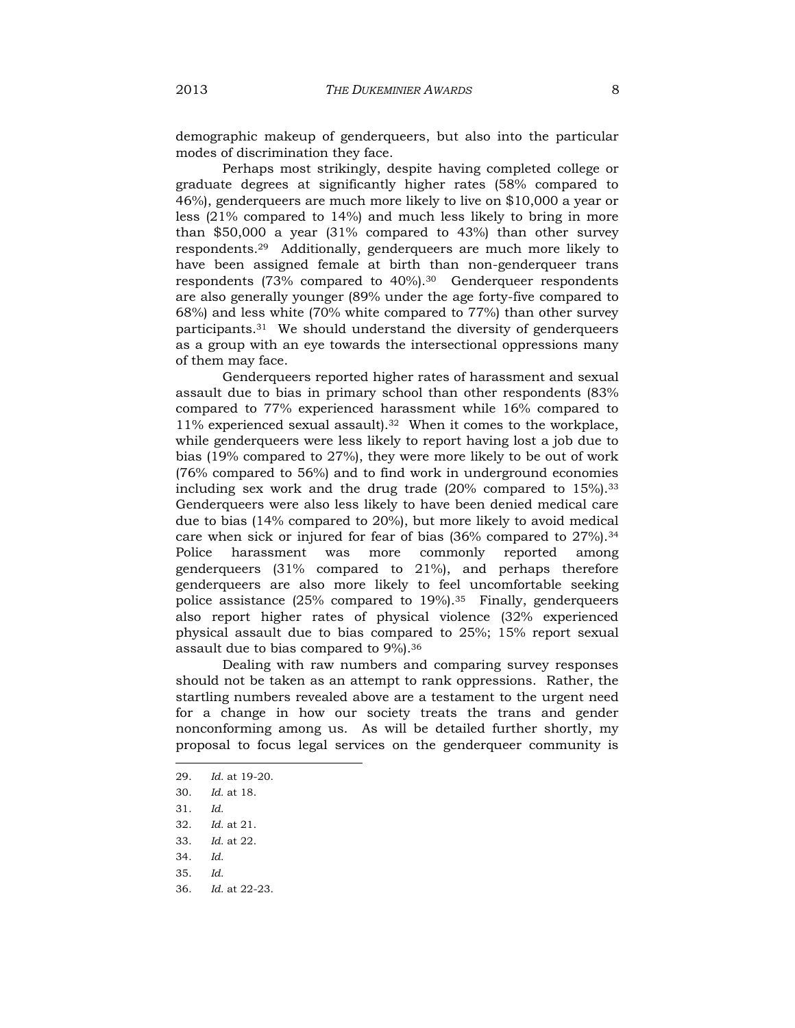demographic makeup of genderqueers, but also into the particular modes of discrimination they face.

Perhaps most strikingly, despite having completed college or graduate degrees at significantly higher rates (58% compared to 46%), genderqueers are much more likely to live on \$10,000 a year or less (21% compared to 14%) and much less likely to bring in more than \$50,000 a year (31% compared to 43%) than other survey respondents.29 Additionally, genderqueers are much more likely to have been assigned female at birth than non-genderqueer trans respondents (73% compared to 40%).30 Genderqueer respondents are also generally younger (89% under the age forty-five compared to 68%) and less white (70% white compared to 77%) than other survey participants.31 We should understand the diversity of genderqueers as a group with an eye towards the intersectional oppressions many of them may face.

Genderqueers reported higher rates of harassment and sexual assault due to bias in primary school than other respondents (83% compared to 77% experienced harassment while 16% compared to 11% experienced sexual assault).32 When it comes to the workplace, while genderqueers were less likely to report having lost a job due to bias (19% compared to 27%), they were more likely to be out of work (76% compared to 56%) and to find work in underground economies including sex work and the drug trade  $(20\% \text{ compared to } 15\%).$ <sup>33</sup> Genderqueers were also less likely to have been denied medical care due to bias (14% compared to 20%), but more likely to avoid medical care when sick or injured for fear of bias  $(36\%$  compared to  $27\%$ ).<sup>34</sup> Police harassment was more commonly reported among genderqueers (31% compared to 21%), and perhaps therefore genderqueers are also more likely to feel uncomfortable seeking police assistance  $(25\%$  compared to  $19\%)$ .<sup>35</sup> Finally, genderqueers also report higher rates of physical violence (32% experienced physical assault due to bias compared to 25%; 15% report sexual assault due to bias compared to 9%).<sup>36</sup>

Dealing with raw numbers and comparing survey responses should not be taken as an attempt to rank oppressions. Rather, the startling numbers revealed above are a testament to the urgent need for a change in how our society treats the trans and gender nonconforming among us. As will be detailed further shortly, my proposal to focus legal services on the genderqueer community is

<sup>29.</sup> *Id.* at 19-20.

<sup>30.</sup> *Id.* at 18.

<sup>31.</sup> *Id.*

<sup>32.</sup> *Id.* at 21.

<sup>33.</sup> *Id.* at 22.

<sup>34.</sup> *Id.*

<sup>35.</sup> *Id.*

<sup>36.</sup> *Id.* at 22-23.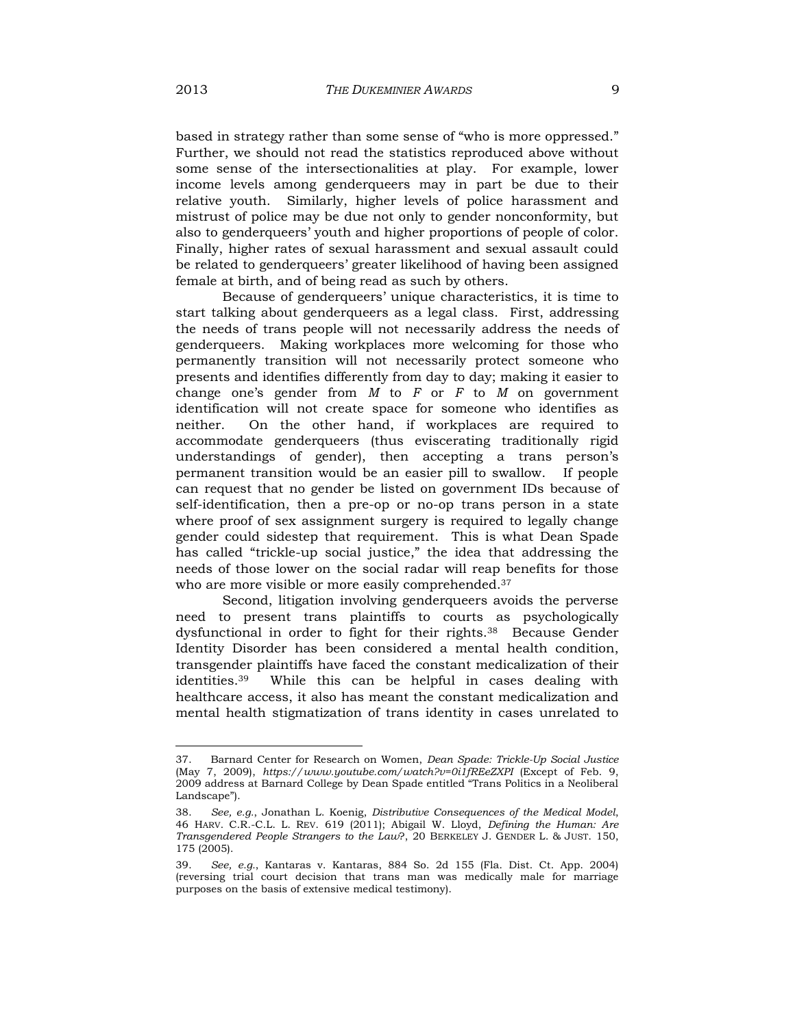based in strategy rather than some sense of "who is more oppressed." Further, we should not read the statistics reproduced above without some sense of the intersectionalities at play. For example, lower income levels among genderqueers may in part be due to their relative youth. Similarly, higher levels of police harassment and mistrust of police may be due not only to gender nonconformity, but also to genderqueers' youth and higher proportions of people of color. Finally, higher rates of sexual harassment and sexual assault could be related to genderqueers' greater likelihood of having been assigned female at birth, and of being read as such by others.

Because of genderqueers' unique characteristics, it is time to start talking about genderqueers as a legal class. First, addressing the needs of trans people will not necessarily address the needs of genderqueers. Making workplaces more welcoming for those who permanently transition will not necessarily protect someone who presents and identifies differently from day to day; making it easier to change one's gender from *M* to *F* or *F* to *M* on government identification will not create space for someone who identifies as neither. On the other hand, if workplaces are required to accommodate genderqueers (thus eviscerating traditionally rigid understandings of gender), then accepting a trans person's permanent transition would be an easier pill to swallow. If people can request that no gender be listed on government IDs because of self-identification, then a pre-op or no-op trans person in a state where proof of sex assignment surgery is required to legally change gender could sidestep that requirement. This is what Dean Spade has called "trickle-up social justice," the idea that addressing the needs of those lower on the social radar will reap benefits for those who are more visible or more easily comprehended.<sup>37</sup>

Second, litigation involving genderqueers avoids the perverse need to present trans plaintiffs to courts as psychologically dysfunctional in order to fight for their rights.38 Because Gender Identity Disorder has been considered a mental health condition, transgender plaintiffs have faced the constant medicalization of their identities.39 While this can be helpful in cases dealing with healthcare access, it also has meant the constant medicalization and mental health stigmatization of trans identity in cases unrelated to

<sup>37.</sup> Barnard Center for Research on Women, *Dean Spade: Trickle-Up Social Justice* (May 7, 2009), *https://www.youtube.com/watch?v=0i1fREeZXPI* (Except of Feb. 9, 2009 address at Barnard College by Dean Spade entitled "Trans Politics in a Neoliberal Landscape").

<sup>38.</sup> *See, e.g.*, Jonathan L. Koenig, *Distributive Consequences of the Medical Model*, 46 HARV. C.R.-C.L. L. REV. 619 (2011); Abigail W. Lloyd, *Defining the Human: Are Transgendered People Strangers to the Law*?, 20 BERKELEY J. GENDER L. & JUST. 150, 175 (2005).

<sup>39.</sup> *See, e.g.*, Kantaras v. Kantaras, 884 So. 2d 155 (Fla. Dist. Ct. App. 2004) (reversing trial court decision that trans man was medically male for marriage purposes on the basis of extensive medical testimony).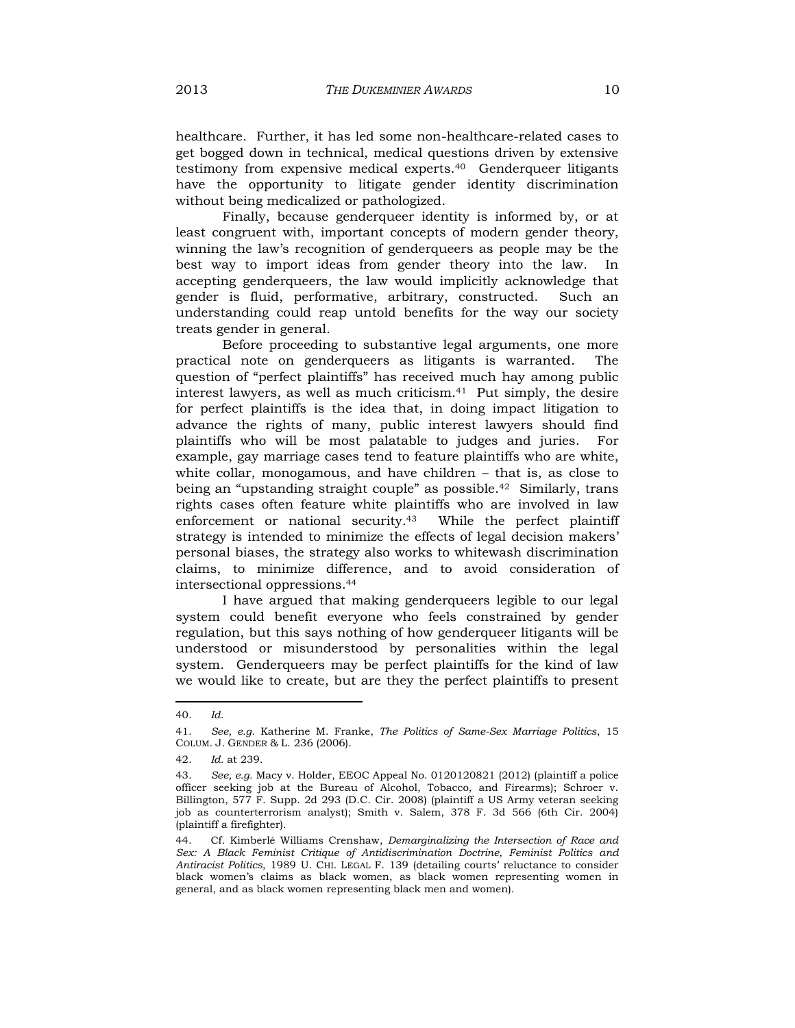healthcare. Further, it has led some non-healthcare-related cases to get bogged down in technical, medical questions driven by extensive testimony from expensive medical experts.40 Genderqueer litigants have the opportunity to litigate gender identity discrimination without being medicalized or pathologized.

Finally, because genderqueer identity is informed by, or at least congruent with, important concepts of modern gender theory, winning the law's recognition of genderqueers as people may be the best way to import ideas from gender theory into the law. In accepting genderqueers, the law would implicitly acknowledge that gender is fluid, performative, arbitrary, constructed. Such an understanding could reap untold benefits for the way our society treats gender in general.

Before proceeding to substantive legal arguments, one more practical note on genderqueers as litigants is warranted. The question of "perfect plaintiffs" has received much hay among public interest lawyers, as well as much criticism.41 Put simply, the desire for perfect plaintiffs is the idea that, in doing impact litigation to advance the rights of many, public interest lawyers should find plaintiffs who will be most palatable to judges and juries. For example, gay marriage cases tend to feature plaintiffs who are white, white collar, monogamous, and have children – that is, as close to being an "upstanding straight couple" as possible.<sup>42</sup> Similarly, trans rights cases often feature white plaintiffs who are involved in law enforcement or national security.43 While the perfect plaintiff strategy is intended to minimize the effects of legal decision makers' personal biases, the strategy also works to whitewash discrimination claims, to minimize difference, and to avoid consideration of intersectional oppressions.<sup>44</sup>

I have argued that making genderqueers legible to our legal system could benefit everyone who feels constrained by gender regulation, but this says nothing of how genderqueer litigants will be understood or misunderstood by personalities within the legal system. Genderqueers may be perfect plaintiffs for the kind of law we would like to create, but are they the perfect plaintiffs to present

<sup>40.</sup> *Id.*

<sup>41.</sup> *See, e.g.* Katherine M. Franke, *The Politics of Same-Sex Marriage Politics*, 15 COLUM. J. GENDER & L. 236 (2006).

<sup>42.</sup> *Id.* at 239.

<sup>43.</sup> *See, e.g.* Macy v. Holder, EEOC Appeal No. 0120120821 (2012) (plaintiff a police officer seeking job at the Bureau of Alcohol, Tobacco, and Firearms); Schroer v. Billington, 577 F. Supp. 2d 293 (D.C. Cir. 2008) (plaintiff a US Army veteran seeking job as counterterrorism analyst); Smith v. Salem, 378 F. 3d 566 (6th Cir. 2004) (plaintiff a firefighter).

<sup>44.</sup> Cf. Kimberlé Williams Crenshaw, *Demarginalizing the Intersection of Race and Sex: A Black Feminist Critique of Antidiscrimination Doctrine, Feminist Politics and*  Antiracist Politics, 1989 U. CHI. LEGAL F. 139 (detailing courts' reluctance to consider black women's claims as black women, as black women representing women in general, and as black women representing black men and women).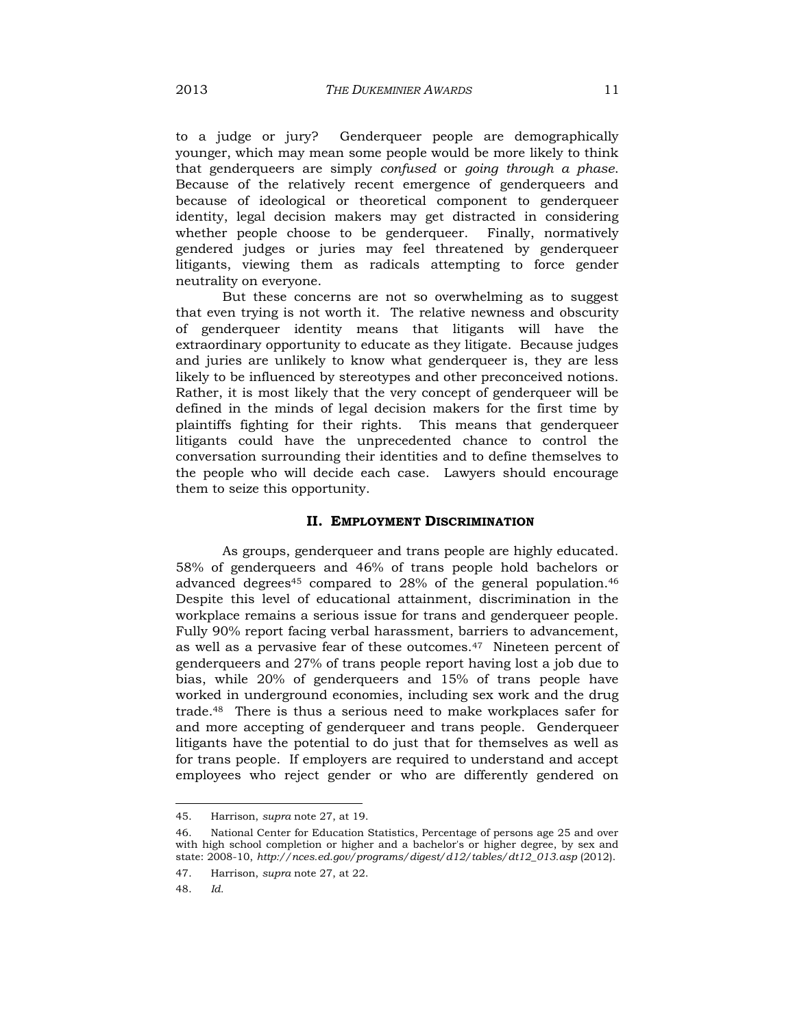to a judge or jury? Genderqueer people are demographically younger, which may mean some people would be more likely to think that genderqueers are simply *confused* or *going through a phase*. Because of the relatively recent emergence of genderqueers and because of ideological or theoretical component to genderqueer identity, legal decision makers may get distracted in considering whether people choose to be genderqueer. Finally, normatively gendered judges or juries may feel threatened by genderqueer litigants, viewing them as radicals attempting to force gender neutrality on everyone.

But these concerns are not so overwhelming as to suggest that even trying is not worth it. The relative newness and obscurity of genderqueer identity means that litigants will have the extraordinary opportunity to educate as they litigate. Because judges and juries are unlikely to know what genderqueer is, they are less likely to be influenced by stereotypes and other preconceived notions. Rather, it is most likely that the very concept of genderqueer will be defined in the minds of legal decision makers for the first time by plaintiffs fighting for their rights. This means that genderqueer litigants could have the unprecedented chance to control the conversation surrounding their identities and to define themselves to the people who will decide each case. Lawyers should encourage them to seize this opportunity.

## **II. EMPLOYMENT DISCRIMINATION**

<span id="page-10-0"></span>As groups, genderqueer and trans people are highly educated. 58% of genderqueers and 46% of trans people hold bachelors or advanced degrees<sup>45</sup> compared to 28% of the general population.<sup>46</sup> Despite this level of educational attainment, discrimination in the workplace remains a serious issue for trans and genderqueer people. Fully 90% report facing verbal harassment, barriers to advancement, as well as a pervasive fear of these outcomes.47 Nineteen percent of genderqueers and 27% of trans people report having lost a job due to bias, while 20% of genderqueers and 15% of trans people have worked in underground economies, including sex work and the drug trade.48 There is thus a serious need to make workplaces safer for and more accepting of genderqueer and trans people. Genderqueer litigants have the potential to do just that for themselves as well as for trans people. If employers are required to understand and accept employees who reject gender or who are differently gendered on

<sup>45.</sup> Harrison, *supra* note 27, at 19.

<sup>46.</sup> National Center for Education Statistics, Percentage of persons age 25 and over with high school completion or higher and a bachelor's or higher degree, by sex and state: 2008-10, *http://nces.ed.gov/programs/digest/d12/tables/dt12\_013.asp* (2012).

<sup>47.</sup> Harrison, *supra* note 27, at 22.

<sup>48.</sup> *Id.*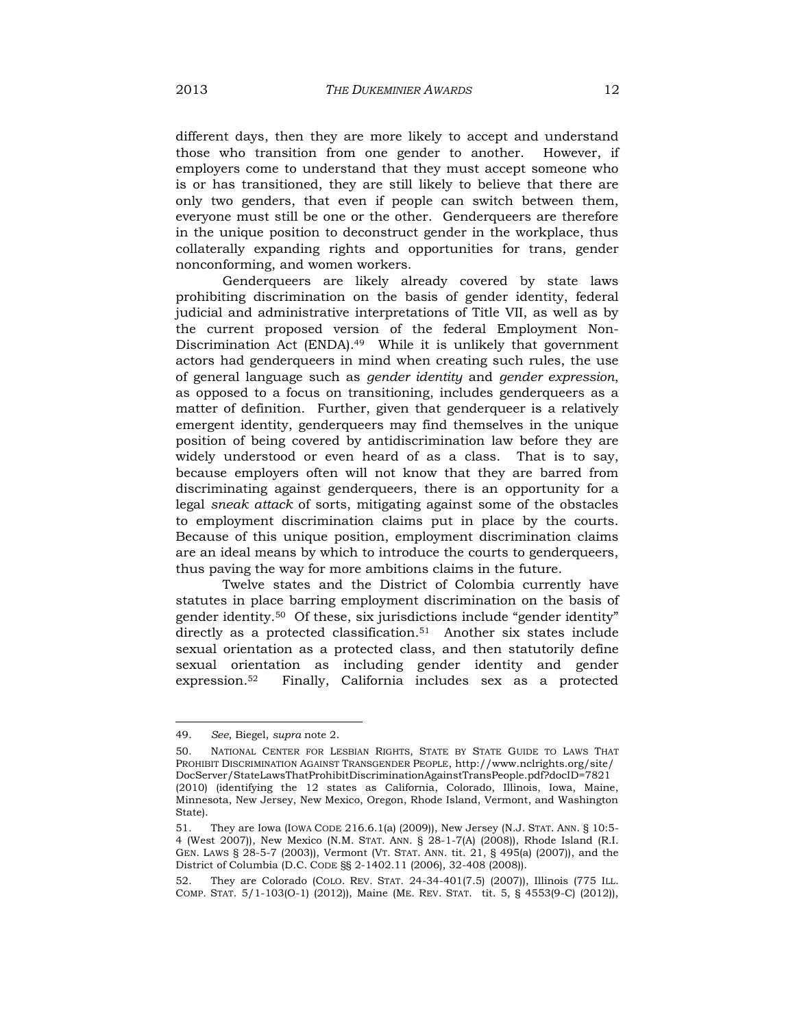different days, then they are more likely to accept and understand those who transition from one gender to another. However, if employers come to understand that they must accept someone who is or has transitioned, they are still likely to believe that there are only two genders, that even if people can switch between them, everyone must still be one or the other. Genderqueers are therefore in the unique position to deconstruct gender in the workplace, thus collaterally expanding rights and opportunities for trans, gender nonconforming, and women workers.

Genderqueers are likely already covered by state laws prohibiting discrimination on the basis of gender identity, federal judicial and administrative interpretations of Title VII, as well as by the current proposed version of the federal Employment Non-Discrimination Act (ENDA).<sup>49</sup> While it is unlikely that government actors had genderqueers in mind when creating such rules, the use of general language such as *gender identity* and *gender expression*, as opposed to a focus on transitioning, includes genderqueers as a matter of definition. Further, given that genderqueer is a relatively emergent identity, genderqueers may find themselves in the unique position of being covered by antidiscrimination law before they are widely understood or even heard of as a class. That is to say, because employers often will not know that they are barred from discriminating against genderqueers, there is an opportunity for a legal *sneak attack* of sorts, mitigating against some of the obstacles to employment discrimination claims put in place by the courts. Because of this unique position, employment discrimination claims are an ideal means by which to introduce the courts to genderqueers, thus paving the way for more ambitions claims in the future.

Twelve states and the District of Colombia currently have statutes in place barring employment discrimination on the basis of gender identity.<sup>50</sup> Of these, six jurisdictions include "gender identity" directly as a protected classification.<sup>51</sup> Another six states include sexual orientation as a protected class, and then statutorily define sexual orientation as including gender identity and gender expression.52 Finally, California includes sex as a protected

<sup>49.</sup> *See*, Biegel, *supra* note 2.

<sup>50.</sup> NATIONAL CENTER FOR LESBIAN RIGHTS, STATE BY STATE GUIDE TO LAWS THAT PROHIBIT DISCRIMINATION AGAINST TRANSGENDER PEOPLE, http://www.nclrights.org/site/ DocServer/StateLawsThatProhibitDiscriminationAgainstTransPeople.pdf?docID=7821 (2010) (identifying the 12 states as California, Colorado, Illinois, Iowa, Maine, Minnesota, New Jersey, New Mexico, Oregon, Rhode Island, Vermont, and Washington State).

<sup>51.</sup> They are Iowa (IOWA CODE 216.6.1(a) (2009)), New Jersey (N.J. STAT. ANN. § 10:5- 4 (West 2007)), New Mexico (N.M. STAT. ANN. § 28-1-7(A) (2008)), Rhode Island (R.I. GEN. LAWS § 28-5-7 (2003)), Vermont (VT. STAT. ANN. tit. 21, § 495(a) (2007)), and the District of Columbia (D.C. CODE §§ 2-1402.11 (2006), 32-408 (2008)).

<sup>52.</sup> They are Colorado (COLO. REV. STAT. 24-34-401(7.5) (2007)), Illinois (775 ILL. COMP. STAT. 5/1-103(O-1) (2012)), Maine (ME. REV. STAT. tit. 5, § 4553(9-C) (2012)),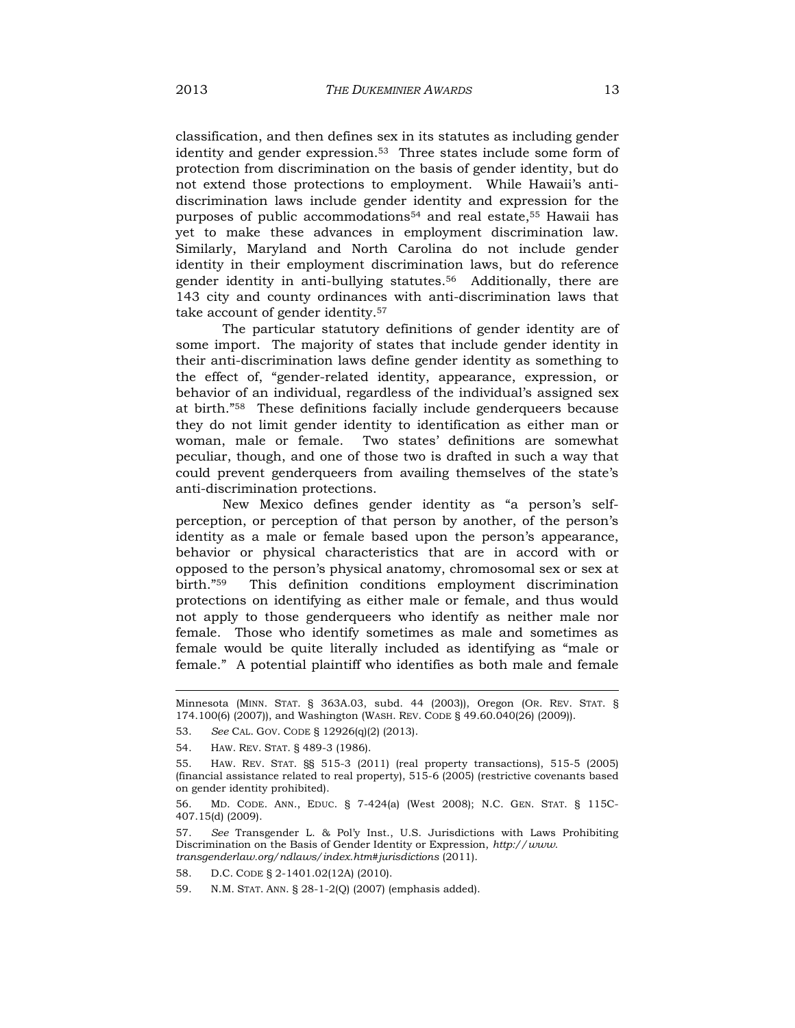classification, and then defines sex in its statutes as including gender identity and gender expression.53 Three states include some form of protection from discrimination on the basis of gender identity, but do not extend those protections to employment. While Hawaii's antidiscrimination laws include gender identity and expression for the purposes of public accommodations<sup>54</sup> and real estate,<sup>55</sup> Hawaii has yet to make these advances in employment discrimination law. Similarly, Maryland and North Carolina do not include gender identity in their employment discrimination laws, but do reference gender identity in anti-bullying statutes.56 Additionally, there are 143 city and county ordinances with anti-discrimination laws that take account of gender identity.<sup>57</sup>

The particular statutory definitions of gender identity are of some import. The majority of states that include gender identity in their anti-discrimination laws define gender identity as something to the effect of, "gender-related identity, appearance, expression, or behavior of an individual, regardless of the individual's assigned sex at birth."58 These definitions facially include genderqueers because they do not limit gender identity to identification as either man or woman, male or female. Two states' definitions are somewhat peculiar, though, and one of those two is drafted in such a way that could prevent genderqueers from availing themselves of the state's anti-discrimination protections.

New Mexico defines gender identity as "a person's selfperception, or perception of that person by another, of the person's identity as a male or female based upon the person's appearance, behavior or physical characteristics that are in accord with or opposed to the person's physical anatomy, chromosomal sex or sex at birth."59 This definition conditions employment discrimination protections on identifying as either male or female, and thus would not apply to those genderqueers who identify as neither male nor female. Those who identify sometimes as male and sometimes as female would be quite literally included as identifying as "male or female." A potential plaintiff who identifies as both male and female

57. *See* Transgender L. & Pol'y Inst., U.S. Jurisdictions with Laws Prohibiting Discrimination on the Basis of Gender Identity or Expression, *http://www. transgenderlaw.org/ndlaws/index.htm#jurisdictions* (2011).

58. D.C. CODE § 2-1401.02(12A) (2010).

Minnesota (MINN. STAT. § 363A.03, subd. 44 (2003)), Oregon (OR. REV. STAT. § 174.100(6) (2007)), and Washington (WASH. REV. CODE § 49.60.040(26) (2009)).

<sup>53.</sup> *See* CAL. GOV. CODE § 12926(q)(2) (2013).

<sup>54.</sup> HAW. REV. STAT. § 489-3 (1986).

<sup>55.</sup> HAW. REV. STAT. §§ 515-3 (2011) (real property transactions), 515-5 (2005) (financial assistance related to real property), 515-6 (2005) (restrictive covenants based on gender identity prohibited).

<sup>56.</sup> MD. CODE. ANN., EDUC. § 7-424(a) (West 2008); N.C. GEN. STAT. § 115C-407.15(d) (2009).

<sup>59.</sup> N.M. STAT. ANN. § 28-1-2(Q) (2007) (emphasis added).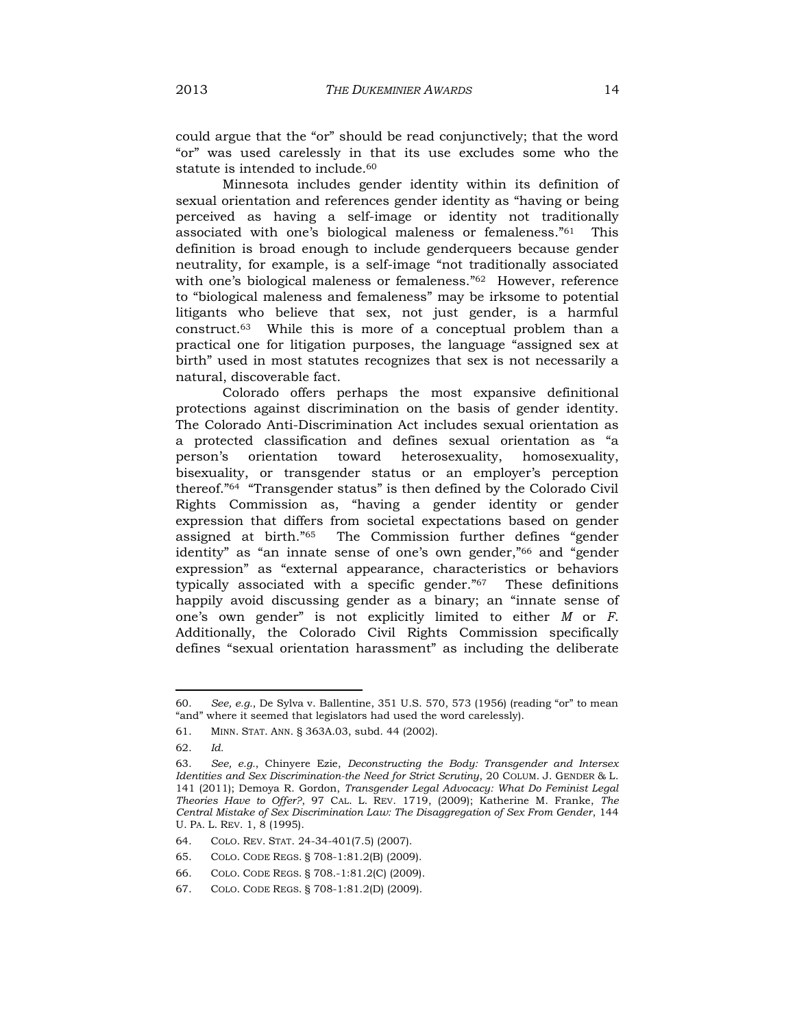could argue that the "or" should be read conjunctively; that the word "or" was used carelessly in that its use excludes some who the statute is intended to include.<sup>60</sup>

Minnesota includes gender identity within its definition of sexual orientation and references gender identity as "having or being perceived as having a self-image or identity not traditionally associated with one's biological maleness or femaleness."61 This definition is broad enough to include genderqueers because gender neutrality, for example, is a self-image "not traditionally associated with one's biological maleness or femaleness."<sup>62</sup> However, reference to "biological maleness and femaleness" may be irksome to potential litigants who believe that sex, not just gender, is a harmful construct.63 While this is more of a conceptual problem than a practical one for litigation purposes, the language "assigned sex at birth" used in most statutes recognizes that sex is not necessarily a natural, discoverable fact.

Colorado offers perhaps the most expansive definitional protections against discrimination on the basis of gender identity. The Colorado Anti-Discrimination Act includes sexual orientation as a protected classification and defines sexual orientation as "a person's orientation toward heterosexuality, homosexuality, bisexuality, or transgender status or an employer's perception thereof."<sup>64</sup> "Transgender status" is then defined by the Colorado Civil Rights Commission as, "having a gender identity or gender expression that differs from societal expectations based on gender assigned at birth."<sup>65</sup> The Commission further defines "gender identity" as "an innate sense of one's own gender,"<sup>66</sup> and "gender expression" as "external appearance, characteristics or behaviors typically associated with a specific gender."67 These definitions happily avoid discussing gender as a binary; an "innate sense of one's own gender" is not explicitly limited to either *M* or *F*. Additionally, the Colorado Civil Rights Commission specifically defines "sexual orientation harassment" as including the deliberate

<sup>60.</sup> *See, e.g.*, De Sylva v. Ballentine, 351 U.S. 570, 573 (1956) (reading "or" to mean "and" where it seemed that legislators had used the word carelessly).

<sup>61.</sup> MINN. STAT. ANN. § 363A.03, subd. 44 (2002).

<sup>62.</sup> *Id.*

<sup>63.</sup> *See, e.g.*, Chinyere Ezie, *Deconstructing the Body: Transgender and Intersex Identities and Sex Discrimination-the Need for Strict Scrutiny*, 20 COLUM. J. GENDER & L. 141 (2011); Demoya R. Gordon, *Transgender Legal Advocacy: What Do Feminist Legal Theories Have to Offer?*, 97 CAL. L. REV. 1719, (2009); Katherine M. Franke, *The Central Mistake of Sex Discrimination Law: The Disaggregation of Sex From Gender*, 144 U. PA. L. REV. 1, 8 (1995).

<sup>64.</sup> COLO. REV. STAT. 24-34-401(7.5) (2007).

<sup>65.</sup> COLO. CODE REGS. § 708-1:81.2(B) (2009).

<sup>66.</sup> COLO. CODE REGS. § 708.-1:81.2(C) (2009).

<sup>67.</sup> COLO. CODE REGS. § 708-1:81.2(D) (2009).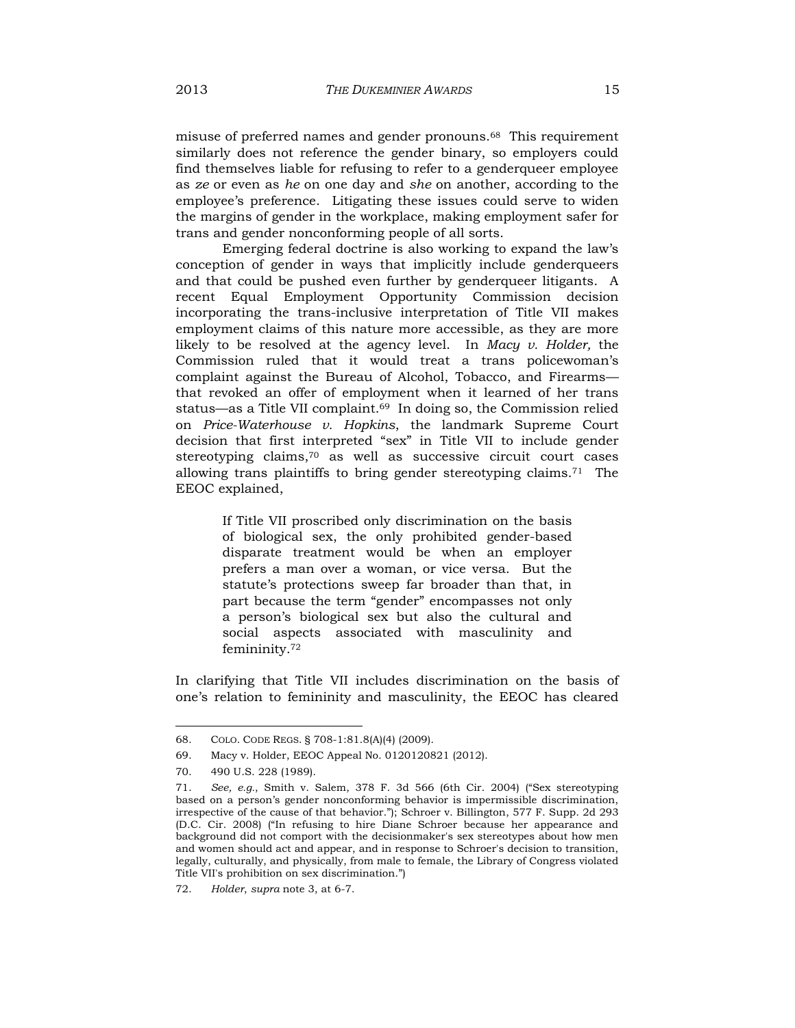misuse of preferred names and gender pronouns.68 This requirement similarly does not reference the gender binary, so employers could find themselves liable for refusing to refer to a genderqueer employee as *ze* or even as *he* on one day and *she* on another, according to the employee's preference. Litigating these issues could serve to widen the margins of gender in the workplace, making employment safer for trans and gender nonconforming people of all sorts.

Emerging federal doctrine is also working to expand the law's conception of gender in ways that implicitly include genderqueers and that could be pushed even further by genderqueer litigants. A recent Equal Employment Opportunity Commission decision incorporating the trans-inclusive interpretation of Title VII makes employment claims of this nature more accessible, as they are more likely to be resolved at the agency level. In *Macy v. Holder,* the Commission ruled that it would treat a trans policewoman's complaint against the Bureau of Alcohol, Tobacco, and Firearms that revoked an offer of employment when it learned of her trans status—as a Title VII complaint.<sup>69</sup> In doing so, the Commission relied on *Price-Waterhouse v. Hopkins*, the landmark Supreme Court decision that first interpreted "sex" in Title VII to include gender stereotyping claims,<sup>70</sup> as well as successive circuit court cases allowing trans plaintiffs to bring gender stereotyping claims.71 The EEOC explained,

> If Title VII proscribed only discrimination on the basis of biological sex, the only prohibited gender-based disparate treatment would be when an employer prefers a man over a woman, or vice versa. But the statute's protections sweep far broader than that, in part because the term "gender" encompasses not only a person's biological sex but also the cultural and social aspects associated with masculinity and femininity.<sup>72</sup>

In clarifying that Title VII includes discrimination on the basis of one's relation to femininity and masculinity, the EEOC has cleared

<sup>68.</sup> COLO. CODE REGS. § 708-1:81.8(A)(4) (2009).

<sup>69.</sup> Macy v. Holder, EEOC Appeal No. 0120120821 (2012).

<sup>70. 490</sup> U.S. 228 (1989).

<sup>71.</sup> *See, e.g.*, Smith v. Salem, 378 F. 3d 566 (6th Cir. 2004) ("Sex stereotyping based on a person's gender nonconforming behavior is impermissible discrimination, irrespective of the cause of that behavior."); Schroer v. Billington, 577 F. Supp. 2d 293 (D.C. Cir. 2008) ("In refusing to hire Diane Schroer because her appearance and background did not comport with the decisionmaker's sex stereotypes about how men and women should act and appear, and in response to Schroer's decision to transition, legally, culturally, and physically, from male to female, the Library of Congress violated Title VII's prohibition on sex discrimination.")

<sup>72.</sup> *Holder*, *supra* note 3, at 6-7.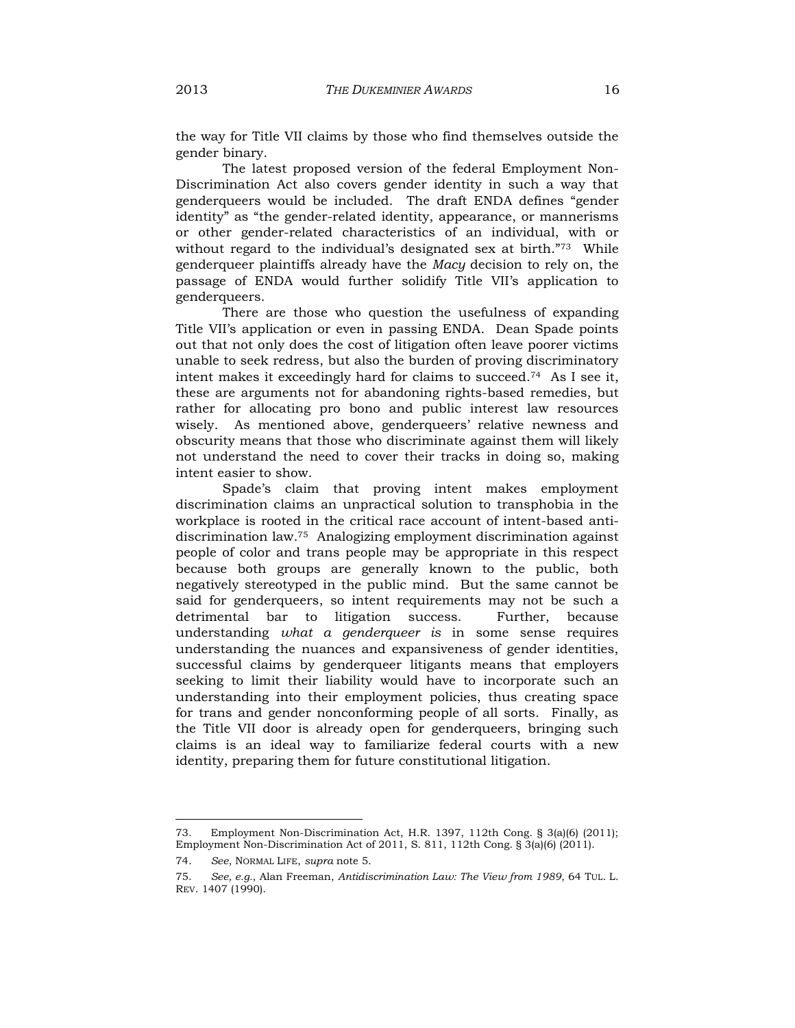the way for Title VII claims by those who find themselves outside the gender binary.

The latest proposed version of the federal Employment Non-Discrimination Act also covers gender identity in such a way that genderqueers would be included. The draft ENDA defines "gender identity" as "the gender-related identity, appearance, or mannerisms or other gender-related characteristics of an individual, with or without regard to the individual's designated sex at birth."73 While genderqueer plaintiffs already have the *Macy* decision to rely on, the passage of ENDA would further solidify Title VII's application to genderqueers.

There are those who question the usefulness of expanding Title VII's application or even in passing ENDA. Dean Spade points out that not only does the cost of litigation often leave poorer victims unable to seek redress, but also the burden of proving discriminatory intent makes it exceedingly hard for claims to succeed.74 As I see it, these are arguments not for abandoning rights-based remedies, but rather for allocating pro bono and public interest law resources wisely. As mentioned above, genderqueers' relative newness and obscurity means that those who discriminate against them will likely not understand the need to cover their tracks in doing so, making intent easier to show.

Spade's claim that proving intent makes employment discrimination claims an unpractical solution to transphobia in the workplace is rooted in the critical race account of intent-based antidiscrimination law.75 Analogizing employment discrimination against people of color and trans people may be appropriate in this respect because both groups are generally known to the public, both negatively stereotyped in the public mind. But the same cannot be said for genderqueers, so intent requirements may not be such a detrimental bar to litigation success. Further, because understanding *what a genderqueer is* in some sense requires understanding the nuances and expansiveness of gender identities, successful claims by genderqueer litigants means that employers seeking to limit their liability would have to incorporate such an understanding into their employment policies, thus creating space for trans and gender nonconforming people of all sorts. Finally, as the Title VII door is already open for genderqueers, bringing such claims is an ideal way to familiarize federal courts with a new identity, preparing them for future constitutional litigation.

<span id="page-15-0"></span><sup>73.</sup> Employment Non-Discrimination Act, H.R. 1397, 112th Cong. § 3(a)(6) (2011); Employment Non-Discrimination Act of 2011, S. 811, 112th Cong. § 3(a)(6) (2011).

<sup>74.</sup> *See*, NORMAL LIFE, *supra* note 5.

<sup>75.</sup> *See, e.g.*, Alan Freeman, *Antidiscrimination Law: The View from 1989*, 64 TUL. L. REV. 1407 (1990).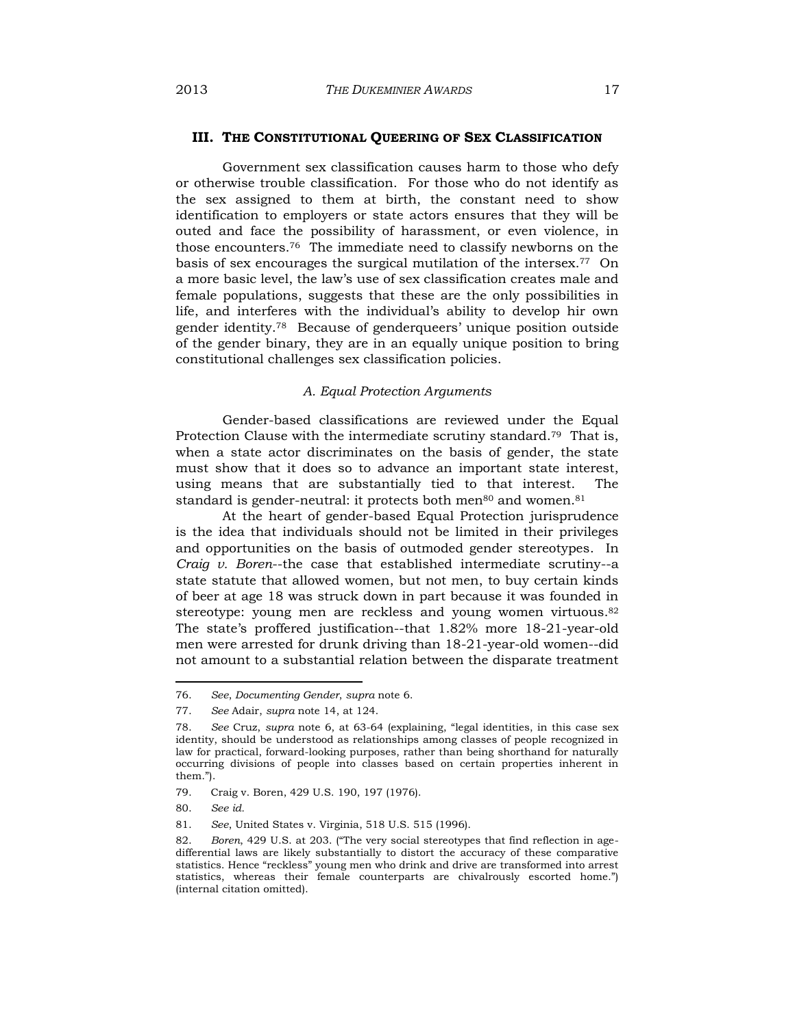#### **III. THE CONSTITUTIONAL QUEERING OF SEX CLASSIFICATION**

Government sex classification causes harm to those who defy or otherwise trouble classification. For those who do not identify as the sex assigned to them at birth, the constant need to show identification to employers or state actors ensures that they will be outed and face the possibility of harassment, or even violence, in those encounters.76 The immediate need to classify newborns on the basis of sex encourages the surgical mutilation of the intersex.77 On a more basic level, the law's use of sex classification creates male and female populations, suggests that these are the only possibilities in life, and interferes with the individual's ability to develop hir own gender identity.78 Because of genderqueers' unique position outside of the gender binary, they are in an equally unique position to bring constitutional challenges sex classification policies.

#### *A. Equal Protection Arguments*

<span id="page-16-0"></span>Gender-based classifications are reviewed under the Equal Protection Clause with the intermediate scrutiny standard.<sup>79</sup> That is, when a state actor discriminates on the basis of gender, the state must show that it does so to advance an important state interest, using means that are substantially tied to that interest. The standard is gender-neutral: it protects both men $80$  and women. $81$ 

At the heart of gender-based Equal Protection jurisprudence is the idea that individuals should not be limited in their privileges and opportunities on the basis of outmoded gender stereotypes. In *Craig v. Boren*--the case that established intermediate scrutiny--a state statute that allowed women, but not men, to buy certain kinds of beer at age 18 was struck down in part because it was founded in stereotype: young men are reckless and young women virtuous.<sup>82</sup> The state's proffered justification--that 1.82% more 18-21-year-old men were arrested for drunk driving than 18-21-year-old women--did not amount to a substantial relation between the disparate treatment

<sup>76.</sup> *See*, *Documenting Gender*, *supra* note 6.

<sup>77.</sup> *See* Adair, *supra* note 14, at 124.

<sup>78.</sup> *See* Cruz, *supra* note 6, at 63-64 (explaining, "legal identities, in this case sex identity, should be understood as relationships among classes of people recognized in law for practical, forward-looking purposes, rather than being shorthand for naturally occurring divisions of people into classes based on certain properties inherent in them.").

<sup>79.</sup> Craig v. Boren, 429 U.S. 190, 197 (1976).

<sup>80.</sup> *See id.*

<sup>81.</sup> *See*, United States v. Virginia, 518 U.S. 515 (1996).

<sup>82.</sup> *Boren*, 429 U.S. at 203. ("The very social stereotypes that find reflection in agedifferential laws are likely substantially to distort the accuracy of these comparative statistics. Hence "reckless" young men who drink and drive are transformed into arrest statistics, whereas their female counterparts are chivalrously escorted home.") (internal citation omitted).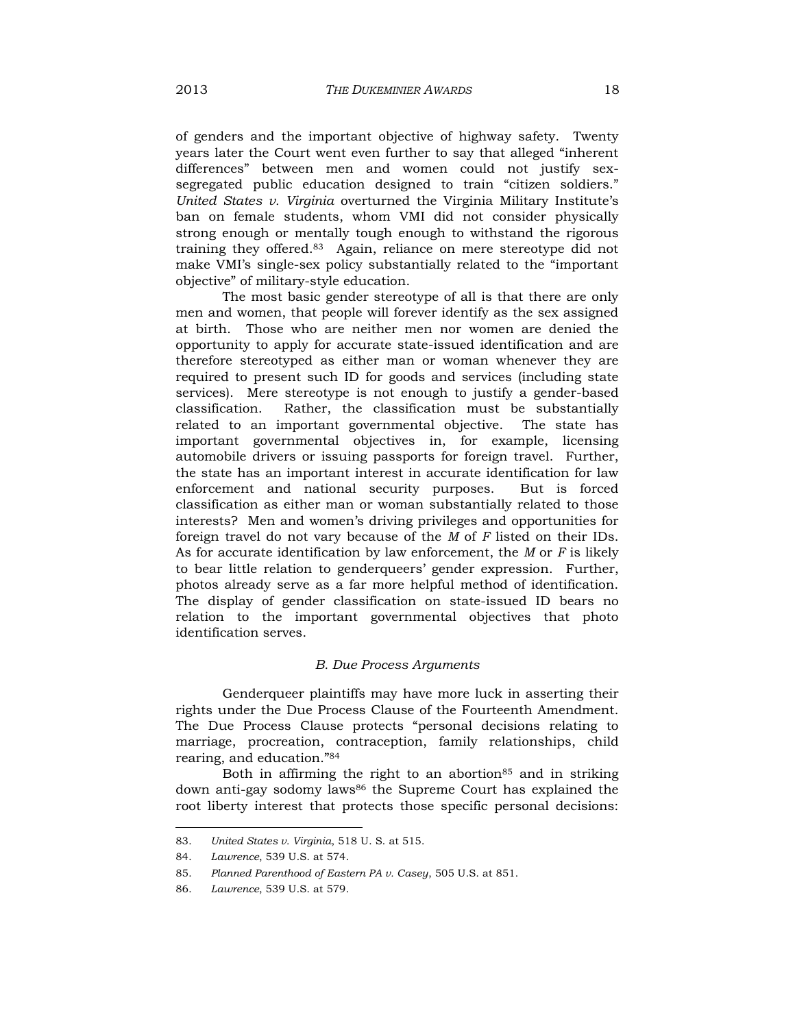of genders and the important objective of highway safety. Twenty years later the Court went even further to say that alleged "inherent differences" between men and women could not justify sexsegregated public education designed to train "citizen soldiers." *United States v. Virginia* overturned the Virginia Military Institute's ban on female students, whom VMI did not consider physically strong enough or mentally tough enough to withstand the rigorous training they offered.83 Again, reliance on mere stereotype did not make VMI's single-sex policy substantially related to the "important objective" of military-style education.

The most basic gender stereotype of all is that there are only men and women, that people will forever identify as the sex assigned at birth. Those who are neither men nor women are denied the opportunity to apply for accurate state-issued identification and are therefore stereotyped as either man or woman whenever they are required to present such ID for goods and services (including state services). Mere stereotype is not enough to justify a gender-based classification. Rather, the classification must be substantially related to an important governmental objective. The state has important governmental objectives in, for example, licensing automobile drivers or issuing passports for foreign travel. Further, the state has an important interest in accurate identification for law enforcement and national security purposes. But is forced classification as either man or woman substantially related to those interests? Men and women's driving privileges and opportunities for foreign travel do not vary because of the *M* of *F* listed on their IDs. As for accurate identification by law enforcement, the *M* or *F* is likely to bear little relation to genderqueers' gender expression. Further, photos already serve as a far more helpful method of identification. The display of gender classification on state-issued ID bears no relation to the important governmental objectives that photo identification serves.

## *B. Due Process Arguments*

<span id="page-17-0"></span>Genderqueer plaintiffs may have more luck in asserting their rights under the Due Process Clause of the Fourteenth Amendment. The Due Process Clause protects "personal decisions relating to marriage, procreation, contraception, family relationships, child rearing, and education."<sup>84</sup>

Both in affirming the right to an abortion<sup>85</sup> and in striking down anti-gay sodomy laws<sup>86</sup> the Supreme Court has explained the root liberty interest that protects those specific personal decisions:

<sup>83.</sup> *United States v. Virginia*, 518 U. S. at 515.

<sup>84.</sup> *Lawrence*, 539 U.S. at 574.

<sup>85.</sup> *Planned Parenthood of Eastern PA v. Casey*, 505 U.S. at 851.

<sup>86.</sup> *Lawrence*, 539 U.S. at 579.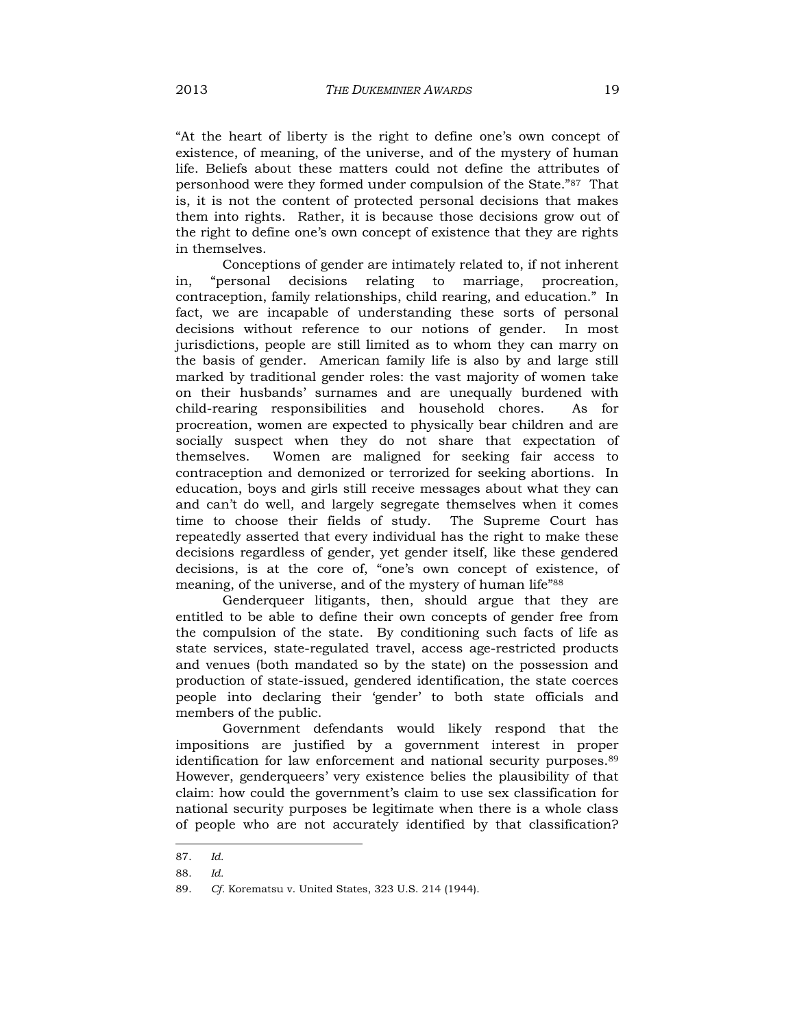"At the heart of liberty is the right to define one's own concept of existence, of meaning, of the universe, and of the mystery of human life. Beliefs about these matters could not define the attributes of personhood were they formed under compulsion of the State."87 That is, it is not the content of protected personal decisions that makes them into rights. Rather, it is because those decisions grow out of the right to define one's own concept of existence that they are rights in themselves.

Conceptions of gender are intimately related to, if not inherent in, "personal decisions relating to marriage, procreation, contraception, family relationships, child rearing, and education." In fact, we are incapable of understanding these sorts of personal decisions without reference to our notions of gender. In most jurisdictions, people are still limited as to whom they can marry on the basis of gender. American family life is also by and large still marked by traditional gender roles: the vast majority of women take on their husbands' surnames and are unequally burdened with child-rearing responsibilities and household chores. As for procreation, women are expected to physically bear children and are socially suspect when they do not share that expectation of themselves. Women are maligned for seeking fair access to contraception and demonized or terrorized for seeking abortions. In education, boys and girls still receive messages about what they can and can't do well, and largely segregate themselves when it comes time to choose their fields of study. The Supreme Court has repeatedly asserted that every individual has the right to make these decisions regardless of gender, yet gender itself, like these gendered decisions, is at the core of, "one's own concept of existence, of meaning, of the universe, and of the mystery of human life"<sup>88</sup>

Genderqueer litigants, then, should argue that they are entitled to be able to define their own concepts of gender free from the compulsion of the state. By conditioning such facts of life as state services, state-regulated travel, access age-restricted products and venues (both mandated so by the state) on the possession and production of state-issued, gendered identification, the state coerces people into declaring their 'gender' to both state officials and members of the public.

Government defendants would likely respond that the impositions are justified by a government interest in proper identification for law enforcement and national security purposes.<sup>89</sup> However, genderqueers' very existence belies the plausibility of that claim: how could the government's claim to use sex classification for national security purposes be legitimate when there is a whole class of people who are not accurately identified by that classification?

<sup>87.</sup> *Id.*

<sup>88.</sup> *Id.*

<sup>89.</sup> *Cf.* Korematsu v. United States, 323 U.S. 214 (1944).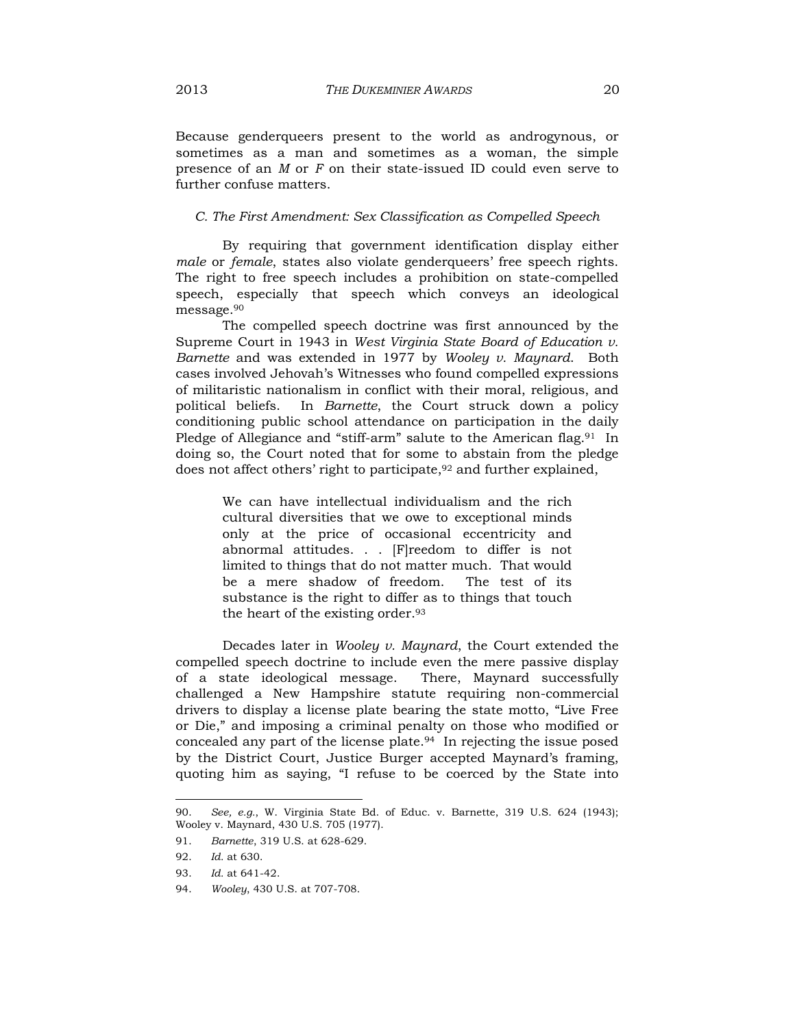Because genderqueers present to the world as androgynous, or sometimes as a man and sometimes as a woman, the simple presence of an *M* or *F* on their state-issued ID could even serve to further confuse matters.

## <span id="page-19-0"></span>*C. The First Amendment: Sex Classification as Compelled Speech*

By requiring that government identification display either *male* or *female*, states also violate genderqueers' free speech rights. The right to free speech includes a prohibition on state-compelled speech, especially that speech which conveys an ideological message.<sup>90</sup>

The compelled speech doctrine was first announced by the Supreme Court in 1943 in *West Virginia State Board of Education v. Barnette* and was extended in 1977 by *Wooley v. Maynard*. Both cases involved Jehovah's Witnesses who found compelled expressions of militaristic nationalism in conflict with their moral, religious, and political beliefs. In *Barnette*, the Court struck down a policy conditioning public school attendance on participation in the daily Pledge of Allegiance and "stiff-arm" salute to the American flag.<sup>91</sup> In doing so, the Court noted that for some to abstain from the pledge does not affect others' right to participate,<sup>92</sup> and further explained,

> We can have intellectual individualism and the rich cultural diversities that we owe to exceptional minds only at the price of occasional eccentricity and abnormal attitudes. . . [F]reedom to differ is not limited to things that do not matter much. That would be a mere shadow of freedom. The test of its substance is the right to differ as to things that touch the heart of the existing order.<sup>93</sup>

Decades later in *Wooley v. Maynard*, the Court extended the compelled speech doctrine to include even the mere passive display of a state ideological message. There, Maynard successfully challenged a New Hampshire statute requiring non-commercial drivers to display a license plate bearing the state motto, "Live Free or Die," and imposing a criminal penalty on those who modified or concealed any part of the license plate.<sup>94</sup> In rejecting the issue posed by the District Court, Justice Burger accepted Maynard's framing, quoting him as saying, "I refuse to be coerced by the State into

<sup>90.</sup> *See, e.g.*, W. Virginia State Bd. of Educ. v. Barnette, 319 U.S. 624 (1943); Wooley v. Maynard, 430 U.S. 705 (1977).

<sup>91.</sup> *Barnette*, 319 U.S. at 628-629.

<sup>92.</sup> *Id.* at 630.

<sup>93.</sup> *Id.* at 641-42.

<sup>94.</sup> *Wooley*, 430 U.S. at 707-708.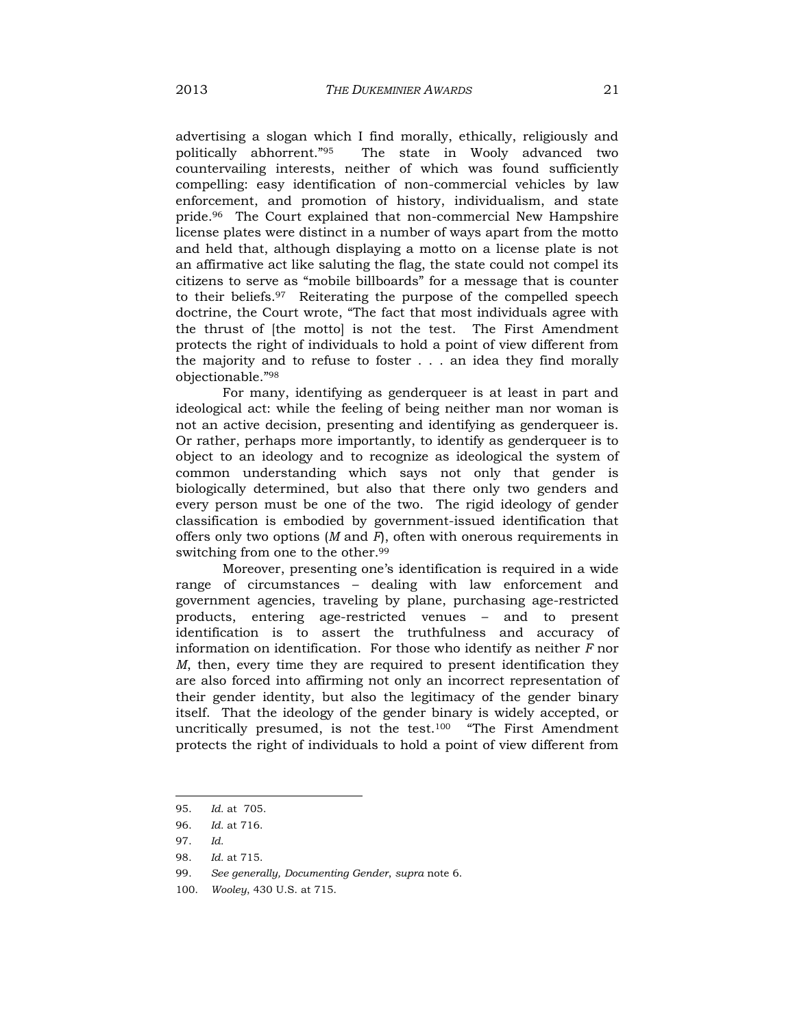advertising a slogan which I find morally, ethically, religiously and politically abhorrent."95 The state in Wooly advanced two countervailing interests, neither of which was found sufficiently compelling: easy identification of non-commercial vehicles by law enforcement, and promotion of history, individualism, and state pride.96 The Court explained that non-commercial New Hampshire license plates were distinct in a number of ways apart from the motto and held that, although displaying a motto on a license plate is not an affirmative act like saluting the flag, the state could not compel its citizens to serve as "mobile billboards" for a message that is counter to their beliefs.97 Reiterating the purpose of the compelled speech doctrine, the Court wrote, "The fact that most individuals agree with the thrust of [the motto] is not the test. The First Amendment protects the right of individuals to hold a point of view different from the majority and to refuse to foster . . . an idea they find morally objectionable."<sup>98</sup>

For many, identifying as genderqueer is at least in part and ideological act: while the feeling of being neither man nor woman is not an active decision, presenting and identifying as genderqueer is. Or rather, perhaps more importantly, to identify as genderqueer is to object to an ideology and to recognize as ideological the system of common understanding which says not only that gender is biologically determined, but also that there only two genders and every person must be one of the two. The rigid ideology of gender classification is embodied by government-issued identification that offers only two options (*M* and *F*), often with onerous requirements in switching from one to the other.<sup>99</sup>

Moreover, presenting one's identification is required in a wide range of circumstances – dealing with law enforcement and government agencies, traveling by plane, purchasing age-restricted products, entering age-restricted venues – and to present identification is to assert the truthfulness and accuracy of information on identification. For those who identify as neither *F* nor *M*, then, every time they are required to present identification they are also forced into affirming not only an incorrect representation of their gender identity, but also the legitimacy of the gender binary itself. That the ideology of the gender binary is widely accepted, or uncritically presumed, is not the test.<sup>100</sup> "The First Amendment protects the right of individuals to hold a point of view different from

<sup>95.</sup> *Id.* at 705.

<sup>96.</sup> *Id.* at 716.

<sup>97.</sup> *Id.*

<sup>98.</sup> *Id.* at 715.

<sup>99.</sup> *See generally, Documenting Gender*, *supra* note 6.

<sup>100.</sup> *Wooley*, 430 U.S. at 715.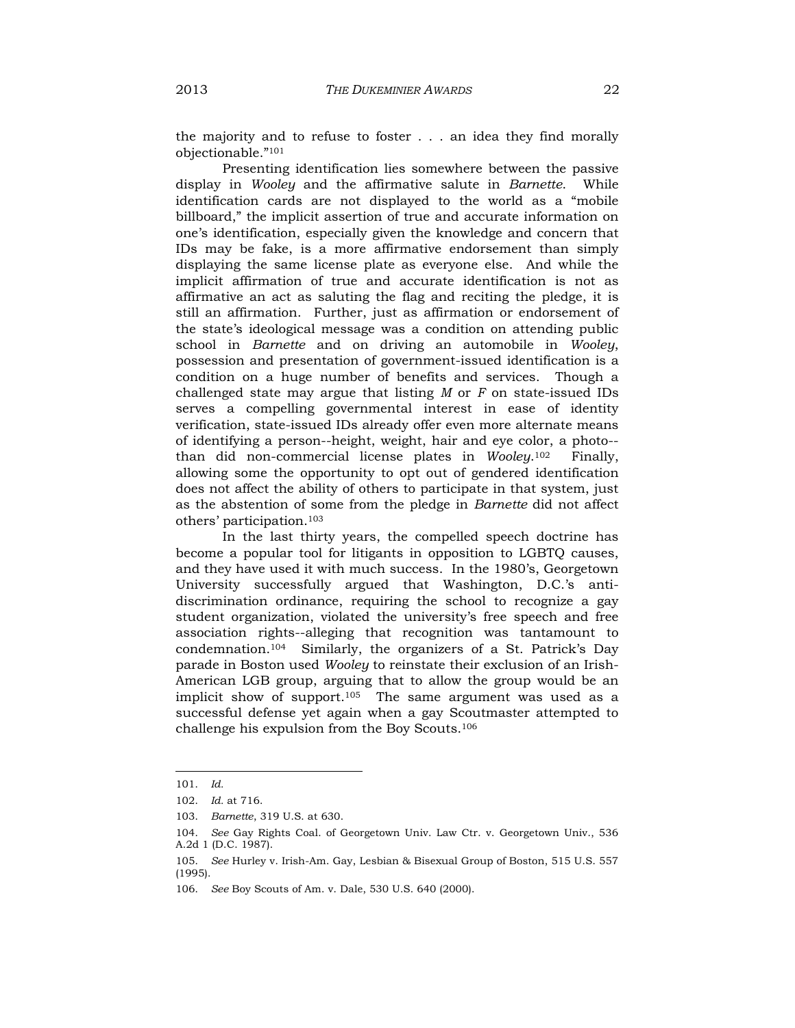the majority and to refuse to foster . . . an idea they find morally objectionable."<sup>101</sup>

Presenting identification lies somewhere between the passive display in *Wooley* and the affirmative salute in *Barnette*. While identification cards are not displayed to the world as a "mobile billboard," the implicit assertion of true and accurate information on one's identification, especially given the knowledge and concern that IDs may be fake, is a more affirmative endorsement than simply displaying the same license plate as everyone else. And while the implicit affirmation of true and accurate identification is not as affirmative an act as saluting the flag and reciting the pledge, it is still an affirmation. Further, just as affirmation or endorsement of the state's ideological message was a condition on attending public school in *Barnette* and on driving an automobile in *Wooley*, possession and presentation of government-issued identification is a condition on a huge number of benefits and services. Though a challenged state may argue that listing *M* or *F* on state-issued IDs serves a compelling governmental interest in ease of identity verification, state-issued IDs already offer even more alternate means of identifying a person--height, weight, hair and eye color, a photo- than did non-commercial license plates in *Wooley*. Finally, allowing some the opportunity to opt out of gendered identification does not affect the ability of others to participate in that system, just as the abstention of some from the pledge in *Barnette* did not affect others' participation.<sup>103</sup>

In the last thirty years, the compelled speech doctrine has become a popular tool for litigants in opposition to LGBTQ causes, and they have used it with much success. In the 1980's, Georgetown University successfully argued that Washington, D.C.'s antidiscrimination ordinance, requiring the school to recognize a gay student organization, violated the university's free speech and free association rights--alleging that recognition was tantamount to condemnation. <sup>104</sup> Similarly, the organizers of a St. Patrick's Day parade in Boston used *Wooley* to reinstate their exclusion of an Irish-American LGB group, arguing that to allow the group would be an implicit show of support.<sup>105</sup> The same argument was used as a successful defense yet again when a gay Scoutmaster attempted to challenge his expulsion from the Boy Scouts.<sup>106</sup>

<sup>101.</sup> *Id.*

<sup>102.</sup> *Id.* at 716.

<sup>103.</sup> *Barnette*, 319 U.S. at 630.

<sup>104.</sup> *See* Gay Rights Coal. of Georgetown Univ. Law Ctr. v. Georgetown Univ., 536 A.2d 1 (D.C. 1987).

<sup>105.</sup> *See* Hurley v. Irish-Am. Gay, Lesbian & Bisexual Group of Boston, 515 U.S. 557 (1995).

<sup>106.</sup> *See* Boy Scouts of Am. v. Dale, 530 U.S. 640 (2000).